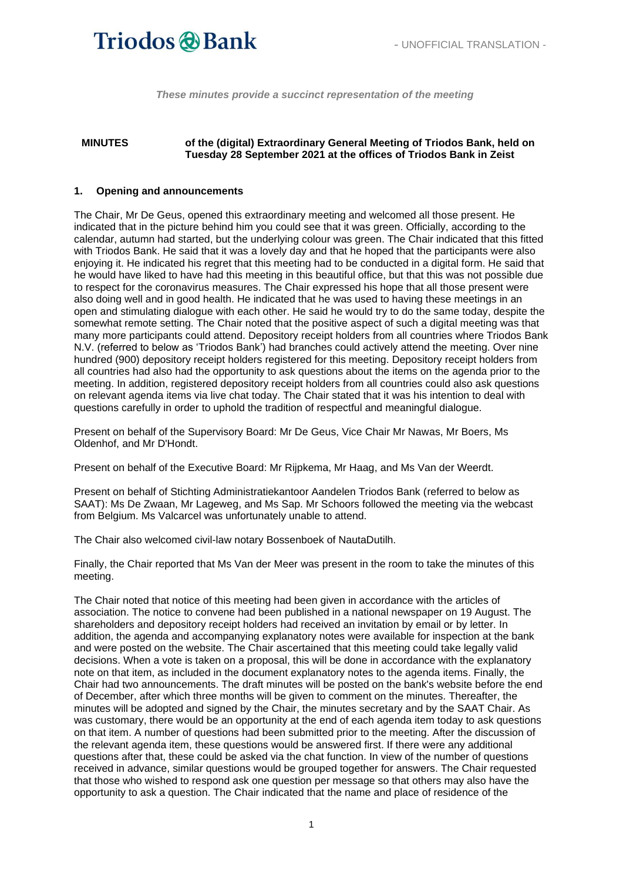*These minutes provide a succinct representation of the meeting*

#### **MINUTES of the (digital) Extraordinary General Meeting of Triodos Bank, held on Tuesday 28 September 2021 at the offices of Triodos Bank in Zeist**

#### **1. Opening and announcements**

The Chair, Mr De Geus, opened this extraordinary meeting and welcomed all those present. He indicated that in the picture behind him you could see that it was green. Officially, according to the calendar, autumn had started, but the underlying colour was green. The Chair indicated that this fitted with Triodos Bank. He said that it was a lovely day and that he hoped that the participants were also enjoying it. He indicated his regret that this meeting had to be conducted in a digital form. He said that he would have liked to have had this meeting in this beautiful office, but that this was not possible due to respect for the coronavirus measures. The Chair expressed his hope that all those present were also doing well and in good health. He indicated that he was used to having these meetings in an open and stimulating dialogue with each other. He said he would try to do the same today, despite the somewhat remote setting. The Chair noted that the positive aspect of such a digital meeting was that many more participants could attend. Depository receipt holders from all countries where Triodos Bank N.V. (referred to below as 'Triodos Bank') had branches could actively attend the meeting. Over nine hundred (900) depository receipt holders registered for this meeting. Depository receipt holders from all countries had also had the opportunity to ask questions about the items on the agenda prior to the meeting. In addition, registered depository receipt holders from all countries could also ask questions on relevant agenda items via live chat today. The Chair stated that it was his intention to deal with questions carefully in order to uphold the tradition of respectful and meaningful dialogue.

Present on behalf of the Supervisory Board: Mr De Geus, Vice Chair Mr Nawas, Mr Boers, Ms Oldenhof, and Mr D'Hondt.

Present on behalf of the Executive Board: Mr Rijpkema, Mr Haag, and Ms Van der Weerdt.

Present on behalf of Stichting Administratiekantoor Aandelen Triodos Bank (referred to below as SAAT): Ms De Zwaan, Mr Lageweg, and Ms Sap. Mr Schoors followed the meeting via the webcast from Belgium. Ms Valcarcel was unfortunately unable to attend.

The Chair also welcomed civil-law notary Bossenboek of NautaDutilh.

Finally, the Chair reported that Ms Van der Meer was present in the room to take the minutes of this meeting.

The Chair noted that notice of this meeting had been given in accordance with the articles of association. The notice to convene had been published in a national newspaper on 19 August. The shareholders and depository receipt holders had received an invitation by email or by letter. In addition, the agenda and accompanying explanatory notes were available for inspection at the bank and were posted on the website. The Chair ascertained that this meeting could take legally valid decisions. When a vote is taken on a proposal, this will be done in accordance with the explanatory note on that item, as included in the document explanatory notes to the agenda items. Finally, the Chair had two announcements. The draft minutes will be posted on the bank's website before the end of December, after which three months will be given to comment on the minutes. Thereafter, the minutes will be adopted and signed by the Chair, the minutes secretary and by the SAAT Chair. As was customary, there would be an opportunity at the end of each agenda item today to ask questions on that item. A number of questions had been submitted prior to the meeting. After the discussion of the relevant agenda item, these questions would be answered first. If there were any additional questions after that, these could be asked via the chat function. In view of the number of questions received in advance, similar questions would be grouped together for answers. The Chair requested that those who wished to respond ask one question per message so that others may also have the opportunity to ask a question. The Chair indicated that the name and place of residence of the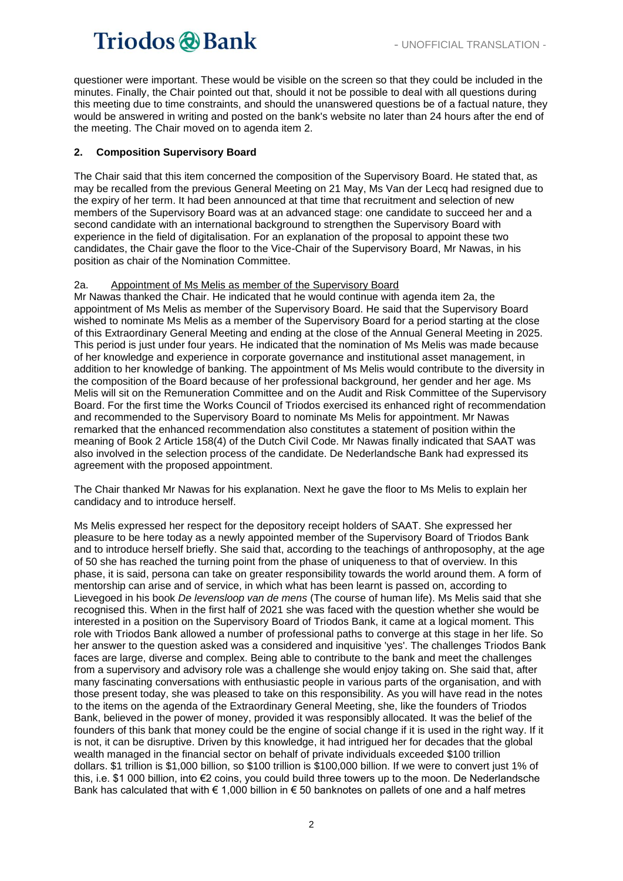questioner were important. These would be visible on the screen so that they could be included in the minutes. Finally, the Chair pointed out that, should it not be possible to deal with all questions during this meeting due to time constraints, and should the unanswered questions be of a factual nature, they would be answered in writing and posted on the bank's website no later than 24 hours after the end of the meeting. The Chair moved on to agenda item 2.

#### **2. Composition Supervisory Board**

The Chair said that this item concerned the composition of the Supervisory Board. He stated that, as may be recalled from the previous General Meeting on 21 May, Ms Van der Lecq had resigned due to the expiry of her term. It had been announced at that time that recruitment and selection of new members of the Supervisory Board was at an advanced stage: one candidate to succeed her and a second candidate with an international background to strengthen the Supervisory Board with experience in the field of digitalisation. For an explanation of the proposal to appoint these two candidates, the Chair gave the floor to the Vice-Chair of the Supervisory Board, Mr Nawas, in his position as chair of the Nomination Committee.

#### 2a. Appointment of Ms Melis as member of the Supervisory Board

Mr Nawas thanked the Chair. He indicated that he would continue with agenda item 2a, the appointment of Ms Melis as member of the Supervisory Board. He said that the Supervisory Board wished to nominate Ms Melis as a member of the Supervisory Board for a period starting at the close of this Extraordinary General Meeting and ending at the close of the Annual General Meeting in 2025. This period is just under four years. He indicated that the nomination of Ms Melis was made because of her knowledge and experience in corporate governance and institutional asset management, in addition to her knowledge of banking. The appointment of Ms Melis would contribute to the diversity in the composition of the Board because of her professional background, her gender and her age. Ms Melis will sit on the Remuneration Committee and on the Audit and Risk Committee of the Supervisory Board. For the first time the Works Council of Triodos exercised its enhanced right of recommendation and recommended to the Supervisory Board to nominate Ms Melis for appointment. Mr Nawas remarked that the enhanced recommendation also constitutes a statement of position within the meaning of Book 2 Article 158(4) of the Dutch Civil Code. Mr Nawas finally indicated that SAAT was also involved in the selection process of the candidate. De Nederlandsche Bank had expressed its agreement with the proposed appointment.

The Chair thanked Mr Nawas for his explanation. Next he gave the floor to Ms Melis to explain her candidacy and to introduce herself.

Ms Melis expressed her respect for the depository receipt holders of SAAT. She expressed her pleasure to be here today as a newly appointed member of the Supervisory Board of Triodos Bank and to introduce herself briefly. She said that, according to the teachings of anthroposophy, at the age of 50 she has reached the turning point from the phase of uniqueness to that of overview. In this phase, it is said, persona can take on greater responsibility towards the world around them. A form of mentorship can arise and of service, in which what has been learnt is passed on, according to Lievegoed in his book *De levensloop van de mens* (The course of human life). Ms Melis said that she recognised this. When in the first half of 2021 she was faced with the question whether she would be interested in a position on the Supervisory Board of Triodos Bank, it came at a logical moment. This role with Triodos Bank allowed a number of professional paths to converge at this stage in her life. So her answer to the question asked was a considered and inquisitive 'yes'. The challenges Triodos Bank faces are large, diverse and complex. Being able to contribute to the bank and meet the challenges from a supervisory and advisory role was a challenge she would enjoy taking on. She said that, after many fascinating conversations with enthusiastic people in various parts of the organisation, and with those present today, she was pleased to take on this responsibility. As you will have read in the notes to the items on the agenda of the Extraordinary General Meeting, she, like the founders of Triodos Bank, believed in the power of money, provided it was responsibly allocated. It was the belief of the founders of this bank that money could be the engine of social change if it is used in the right way. If it is not, it can be disruptive. Driven by this knowledge, it had intrigued her for decades that the global wealth managed in the financial sector on behalf of private individuals exceeded \$100 trillion dollars. \$1 trillion is \$1,000 billion, so \$100 trillion is \$100,000 billion. If we were to convert just 1% of this, i.e. \$1 000 billion, into €2 coins, you could build three towers up to the moon. De Nederlandsche Bank has calculated that with € 1,000 billion in € 50 banknotes on pallets of one and a half metres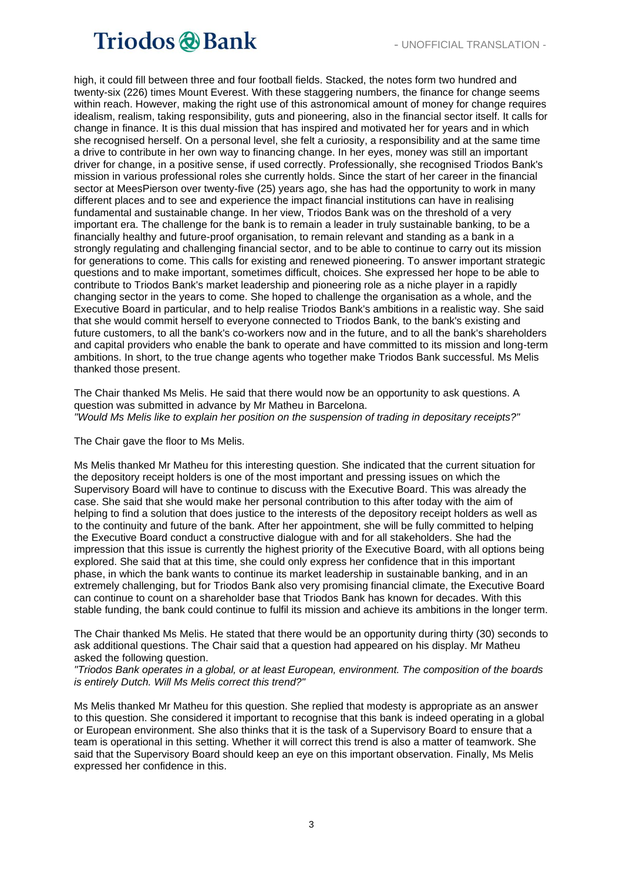high, it could fill between three and four football fields. Stacked, the notes form two hundred and twenty-six (226) times Mount Everest. With these staggering numbers, the finance for change seems within reach. However, making the right use of this astronomical amount of money for change requires idealism, realism, taking responsibility, guts and pioneering, also in the financial sector itself. It calls for change in finance. It is this dual mission that has inspired and motivated her for years and in which she recognised herself. On a personal level, she felt a curiosity, a responsibility and at the same time a drive to contribute in her own way to financing change. In her eyes, money was still an important driver for change, in a positive sense, if used correctly. Professionally, she recognised Triodos Bank's mission in various professional roles she currently holds. Since the start of her career in the financial sector at MeesPierson over twenty-five (25) years ago, she has had the opportunity to work in many different places and to see and experience the impact financial institutions can have in realising fundamental and sustainable change. In her view, Triodos Bank was on the threshold of a very important era. The challenge for the bank is to remain a leader in truly sustainable banking, to be a financially healthy and future-proof organisation, to remain relevant and standing as a bank in a strongly regulating and challenging financial sector, and to be able to continue to carry out its mission for generations to come. This calls for existing and renewed pioneering. To answer important strategic questions and to make important, sometimes difficult, choices. She expressed her hope to be able to contribute to Triodos Bank's market leadership and pioneering role as a niche player in a rapidly changing sector in the years to come. She hoped to challenge the organisation as a whole, and the Executive Board in particular, and to help realise Triodos Bank's ambitions in a realistic way. She said that she would commit herself to everyone connected to Triodos Bank, to the bank's existing and future customers, to all the bank's co-workers now and in the future, and to all the bank's shareholders and capital providers who enable the bank to operate and have committed to its mission and long-term ambitions. In short, to the true change agents who together make Triodos Bank successful. Ms Melis thanked those present.

The Chair thanked Ms Melis. He said that there would now be an opportunity to ask questions. A question was submitted in advance by Mr Matheu in Barcelona. *"Would Ms Melis like to explain her position on the suspension of trading in depositary receipts?"*

The Chair gave the floor to Ms Melis.

Ms Melis thanked Mr Matheu for this interesting question. She indicated that the current situation for the depository receipt holders is one of the most important and pressing issues on which the Supervisory Board will have to continue to discuss with the Executive Board. This was already the case. She said that she would make her personal contribution to this after today with the aim of helping to find a solution that does justice to the interests of the depository receipt holders as well as to the continuity and future of the bank. After her appointment, she will be fully committed to helping the Executive Board conduct a constructive dialogue with and for all stakeholders. She had the impression that this issue is currently the highest priority of the Executive Board, with all options being explored. She said that at this time, she could only express her confidence that in this important phase, in which the bank wants to continue its market leadership in sustainable banking, and in an extremely challenging, but for Triodos Bank also very promising financial climate, the Executive Board can continue to count on a shareholder base that Triodos Bank has known for decades. With this stable funding, the bank could continue to fulfil its mission and achieve its ambitions in the longer term.

The Chair thanked Ms Melis. He stated that there would be an opportunity during thirty (30) seconds to ask additional questions. The Chair said that a question had appeared on his display. Mr Matheu asked the following question.

*"Triodos Bank operates in a global, or at least European, environment. The composition of the boards is entirely Dutch. Will Ms Melis correct this trend?"*

Ms Melis thanked Mr Matheu for this question. She replied that modesty is appropriate as an answer to this question. She considered it important to recognise that this bank is indeed operating in a global or European environment. She also thinks that it is the task of a Supervisory Board to ensure that a team is operational in this setting. Whether it will correct this trend is also a matter of teamwork. She said that the Supervisory Board should keep an eye on this important observation. Finally, Ms Melis expressed her confidence in this.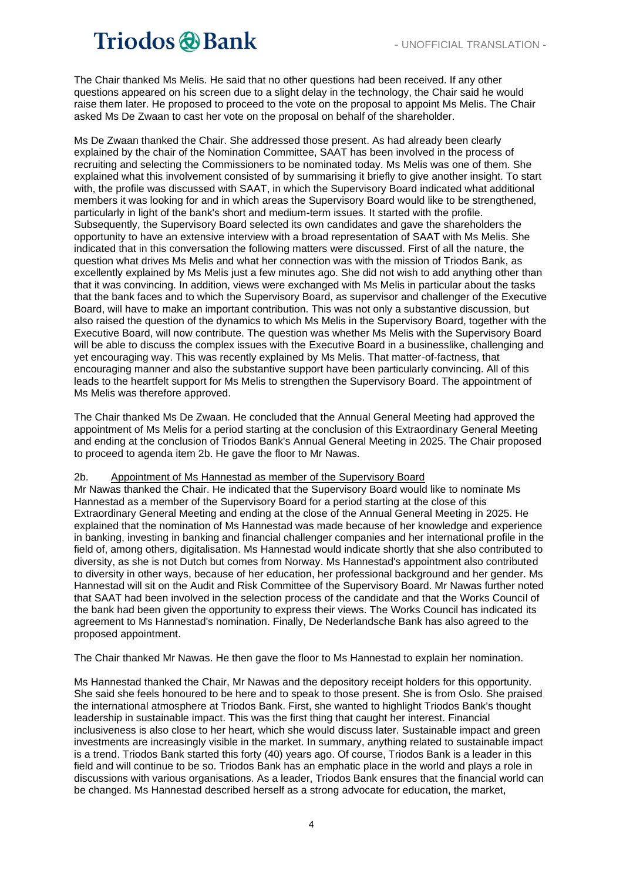The Chair thanked Ms Melis. He said that no other questions had been received. If any other questions appeared on his screen due to a slight delay in the technology, the Chair said he would raise them later. He proposed to proceed to the vote on the proposal to appoint Ms Melis. The Chair asked Ms De Zwaan to cast her vote on the proposal on behalf of the shareholder.

Ms De Zwaan thanked the Chair. She addressed those present. As had already been clearly explained by the chair of the Nomination Committee, SAAT has been involved in the process of recruiting and selecting the Commissioners to be nominated today. Ms Melis was one of them. She explained what this involvement consisted of by summarising it briefly to give another insight. To start with, the profile was discussed with SAAT, in which the Supervisory Board indicated what additional members it was looking for and in which areas the Supervisory Board would like to be strengthened, particularly in light of the bank's short and medium-term issues. It started with the profile. Subsequently, the Supervisory Board selected its own candidates and gave the shareholders the opportunity to have an extensive interview with a broad representation of SAAT with Ms Melis. She indicated that in this conversation the following matters were discussed. First of all the nature, the question what drives Ms Melis and what her connection was with the mission of Triodos Bank, as excellently explained by Ms Melis just a few minutes ago. She did not wish to add anything other than that it was convincing. In addition, views were exchanged with Ms Melis in particular about the tasks that the bank faces and to which the Supervisory Board, as supervisor and challenger of the Executive Board, will have to make an important contribution. This was not only a substantive discussion, but also raised the question of the dynamics to which Ms Melis in the Supervisory Board, together with the Executive Board, will now contribute. The question was whether Ms Melis with the Supervisory Board will be able to discuss the complex issues with the Executive Board in a businesslike, challenging and yet encouraging way. This was recently explained by Ms Melis. That matter-of-factness, that encouraging manner and also the substantive support have been particularly convincing. All of this leads to the heartfelt support for Ms Melis to strengthen the Supervisory Board. The appointment of Ms Melis was therefore approved.

The Chair thanked Ms De Zwaan. He concluded that the Annual General Meeting had approved the appointment of Ms Melis for a period starting at the conclusion of this Extraordinary General Meeting and ending at the conclusion of Triodos Bank's Annual General Meeting in 2025. The Chair proposed to proceed to agenda item 2b. He gave the floor to Mr Nawas.

#### 2b. Appointment of Ms Hannestad as member of the Supervisory Board

Mr Nawas thanked the Chair. He indicated that the Supervisory Board would like to nominate Ms Hannestad as a member of the Supervisory Board for a period starting at the close of this Extraordinary General Meeting and ending at the close of the Annual General Meeting in 2025. He explained that the nomination of Ms Hannestad was made because of her knowledge and experience in banking, investing in banking and financial challenger companies and her international profile in the field of, among others, digitalisation. Ms Hannestad would indicate shortly that she also contributed to diversity, as she is not Dutch but comes from Norway. Ms Hannestad's appointment also contributed to diversity in other ways, because of her education, her professional background and her gender. Ms Hannestad will sit on the Audit and Risk Committee of the Supervisory Board. Mr Nawas further noted that SAAT had been involved in the selection process of the candidate and that the Works Council of the bank had been given the opportunity to express their views. The Works Council has indicated its agreement to Ms Hannestad's nomination. Finally, De Nederlandsche Bank has also agreed to the proposed appointment.

The Chair thanked Mr Nawas. He then gave the floor to Ms Hannestad to explain her nomination.

Ms Hannestad thanked the Chair, Mr Nawas and the depository receipt holders for this opportunity. She said she feels honoured to be here and to speak to those present. She is from Oslo. She praised the international atmosphere at Triodos Bank. First, she wanted to highlight Triodos Bank's thought leadership in sustainable impact. This was the first thing that caught her interest. Financial inclusiveness is also close to her heart, which she would discuss later. Sustainable impact and green investments are increasingly visible in the market. In summary, anything related to sustainable impact is a trend. Triodos Bank started this forty (40) years ago. Of course, Triodos Bank is a leader in this field and will continue to be so. Triodos Bank has an emphatic place in the world and plays a role in discussions with various organisations. As a leader, Triodos Bank ensures that the financial world can be changed. Ms Hannestad described herself as a strong advocate for education, the market,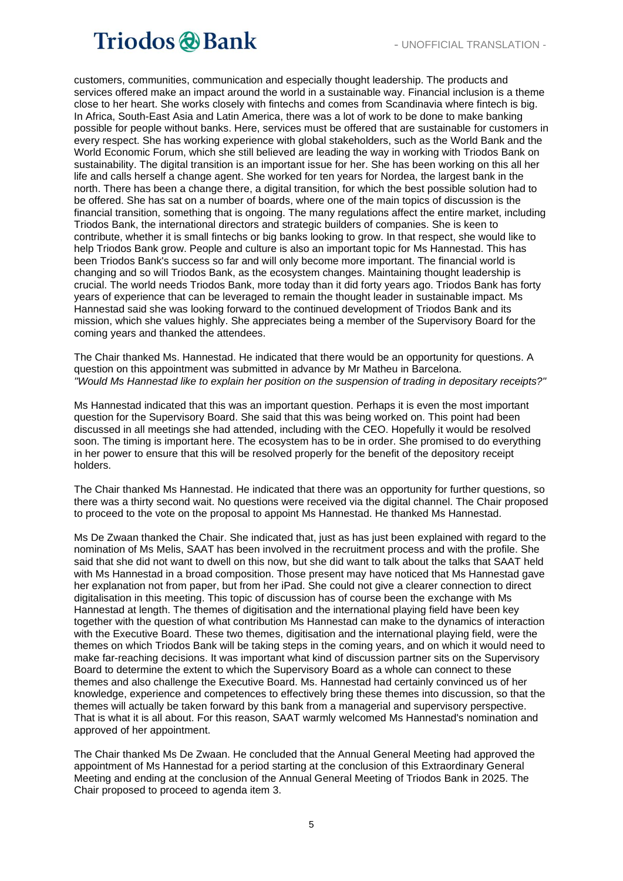customers, communities, communication and especially thought leadership. The products and services offered make an impact around the world in a sustainable way. Financial inclusion is a theme close to her heart. She works closely with fintechs and comes from Scandinavia where fintech is big. In Africa, South-East Asia and Latin America, there was a lot of work to be done to make banking possible for people without banks. Here, services must be offered that are sustainable for customers in every respect. She has working experience with global stakeholders, such as the World Bank and the World Economic Forum, which she still believed are leading the way in working with Triodos Bank on sustainability. The digital transition is an important issue for her. She has been working on this all her life and calls herself a change agent. She worked for ten years for Nordea, the largest bank in the north. There has been a change there, a digital transition, for which the best possible solution had to be offered. She has sat on a number of boards, where one of the main topics of discussion is the financial transition, something that is ongoing. The many regulations affect the entire market, including Triodos Bank, the international directors and strategic builders of companies. She is keen to contribute, whether it is small fintechs or big banks looking to grow. In that respect, she would like to help Triodos Bank grow. People and culture is also an important topic for Ms Hannestad. This has been Triodos Bank's success so far and will only become more important. The financial world is changing and so will Triodos Bank, as the ecosystem changes. Maintaining thought leadership is crucial. The world needs Triodos Bank, more today than it did forty years ago. Triodos Bank has forty years of experience that can be leveraged to remain the thought leader in sustainable impact. Ms Hannestad said she was looking forward to the continued development of Triodos Bank and its mission, which she values highly. She appreciates being a member of the Supervisory Board for the coming years and thanked the attendees.

The Chair thanked Ms. Hannestad. He indicated that there would be an opportunity for questions. A question on this appointment was submitted in advance by Mr Matheu in Barcelona. *"Would Ms Hannestad like to explain her position on the suspension of trading in depositary receipts?"*

Ms Hannestad indicated that this was an important question. Perhaps it is even the most important question for the Supervisory Board. She said that this was being worked on. This point had been discussed in all meetings she had attended, including with the CEO. Hopefully it would be resolved soon. The timing is important here. The ecosystem has to be in order. She promised to do everything in her power to ensure that this will be resolved properly for the benefit of the depository receipt holders.

The Chair thanked Ms Hannestad. He indicated that there was an opportunity for further questions, so there was a thirty second wait. No questions were received via the digital channel. The Chair proposed to proceed to the vote on the proposal to appoint Ms Hannestad. He thanked Ms Hannestad.

Ms De Zwaan thanked the Chair. She indicated that, just as has just been explained with regard to the nomination of Ms Melis, SAAT has been involved in the recruitment process and with the profile. She said that she did not want to dwell on this now, but she did want to talk about the talks that SAAT held with Ms Hannestad in a broad composition. Those present may have noticed that Ms Hannestad gave her explanation not from paper, but from her iPad. She could not give a clearer connection to direct digitalisation in this meeting. This topic of discussion has of course been the exchange with Ms Hannestad at length. The themes of digitisation and the international playing field have been key together with the question of what contribution Ms Hannestad can make to the dynamics of interaction with the Executive Board. These two themes, digitisation and the international playing field, were the themes on which Triodos Bank will be taking steps in the coming years, and on which it would need to make far-reaching decisions. It was important what kind of discussion partner sits on the Supervisory Board to determine the extent to which the Supervisory Board as a whole can connect to these themes and also challenge the Executive Board. Ms. Hannestad had certainly convinced us of her knowledge, experience and competences to effectively bring these themes into discussion, so that the themes will actually be taken forward by this bank from a managerial and supervisory perspective. That is what it is all about. For this reason, SAAT warmly welcomed Ms Hannestad's nomination and approved of her appointment.

The Chair thanked Ms De Zwaan. He concluded that the Annual General Meeting had approved the appointment of Ms Hannestad for a period starting at the conclusion of this Extraordinary General Meeting and ending at the conclusion of the Annual General Meeting of Triodos Bank in 2025. The Chair proposed to proceed to agenda item 3.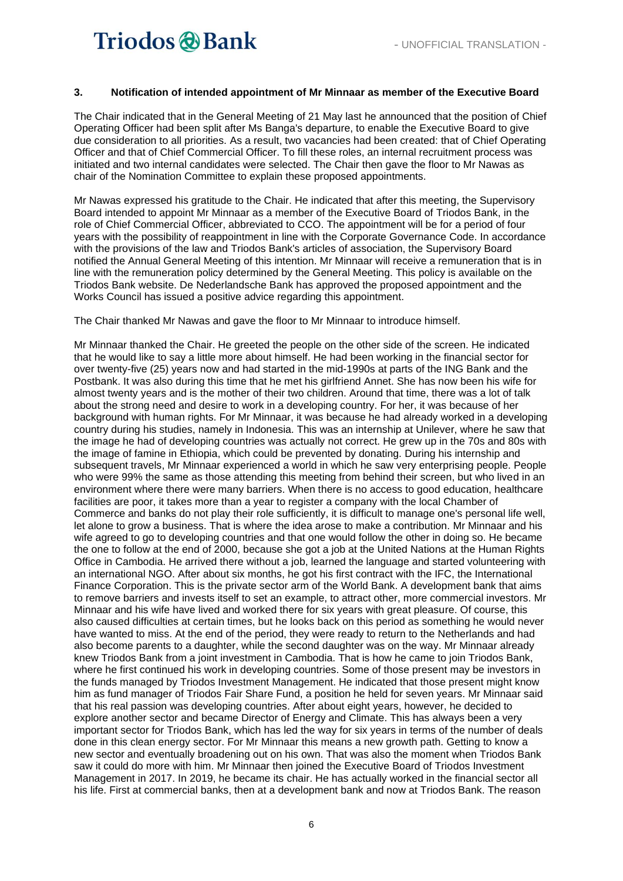#### **3. Notification of intended appointment of Mr Minnaar as member of the Executive Board**

The Chair indicated that in the General Meeting of 21 May last he announced that the position of Chief Operating Officer had been split after Ms Banga's departure, to enable the Executive Board to give due consideration to all priorities. As a result, two vacancies had been created: that of Chief Operating Officer and that of Chief Commercial Officer. To fill these roles, an internal recruitment process was initiated and two internal candidates were selected. The Chair then gave the floor to Mr Nawas as chair of the Nomination Committee to explain these proposed appointments.

Mr Nawas expressed his gratitude to the Chair. He indicated that after this meeting, the Supervisory Board intended to appoint Mr Minnaar as a member of the Executive Board of Triodos Bank, in the role of Chief Commercial Officer, abbreviated to CCO. The appointment will be for a period of four years with the possibility of reappointment in line with the Corporate Governance Code. In accordance with the provisions of the law and Triodos Bank's articles of association, the Supervisory Board notified the Annual General Meeting of this intention. Mr Minnaar will receive a remuneration that is in line with the remuneration policy determined by the General Meeting. This policy is available on the Triodos Bank website. De Nederlandsche Bank has approved the proposed appointment and the Works Council has issued a positive advice regarding this appointment.

The Chair thanked Mr Nawas and gave the floor to Mr Minnaar to introduce himself.

Mr Minnaar thanked the Chair. He greeted the people on the other side of the screen. He indicated that he would like to say a little more about himself. He had been working in the financial sector for over twenty-five (25) years now and had started in the mid-1990s at parts of the ING Bank and the Postbank. It was also during this time that he met his girlfriend Annet. She has now been his wife for almost twenty years and is the mother of their two children. Around that time, there was a lot of talk about the strong need and desire to work in a developing country. For her, it was because of her background with human rights. For Mr Minnaar, it was because he had already worked in a developing country during his studies, namely in Indonesia. This was an internship at Unilever, where he saw that the image he had of developing countries was actually not correct. He grew up in the 70s and 80s with the image of famine in Ethiopia, which could be prevented by donating. During his internship and subsequent travels, Mr Minnaar experienced a world in which he saw very enterprising people. People who were 99% the same as those attending this meeting from behind their screen, but who lived in an environment where there were many barriers. When there is no access to good education, healthcare facilities are poor, it takes more than a year to register a company with the local Chamber of Commerce and banks do not play their role sufficiently, it is difficult to manage one's personal life well, let alone to grow a business. That is where the idea arose to make a contribution. Mr Minnaar and his wife agreed to go to developing countries and that one would follow the other in doing so. He became the one to follow at the end of 2000, because she got a job at the United Nations at the Human Rights Office in Cambodia. He arrived there without a job, learned the language and started volunteering with an international NGO. After about six months, he got his first contract with the IFC, the International Finance Corporation. This is the private sector arm of the World Bank. A development bank that aims to remove barriers and invests itself to set an example, to attract other, more commercial investors. Mr Minnaar and his wife have lived and worked there for six years with great pleasure. Of course, this also caused difficulties at certain times, but he looks back on this period as something he would never have wanted to miss. At the end of the period, they were ready to return to the Netherlands and had also become parents to a daughter, while the second daughter was on the way. Mr Minnaar already knew Triodos Bank from a joint investment in Cambodia. That is how he came to join Triodos Bank, where he first continued his work in developing countries. Some of those present may be investors in the funds managed by Triodos Investment Management. He indicated that those present might know him as fund manager of Triodos Fair Share Fund, a position he held for seven years. Mr Minnaar said that his real passion was developing countries. After about eight years, however, he decided to explore another sector and became Director of Energy and Climate. This has always been a very important sector for Triodos Bank, which has led the way for six years in terms of the number of deals done in this clean energy sector. For Mr Minnaar this means a new growth path. Getting to know a new sector and eventually broadening out on his own. That was also the moment when Triodos Bank saw it could do more with him. Mr Minnaar then joined the Executive Board of Triodos Investment Management in 2017. In 2019, he became its chair. He has actually worked in the financial sector all his life. First at commercial banks, then at a development bank and now at Triodos Bank. The reason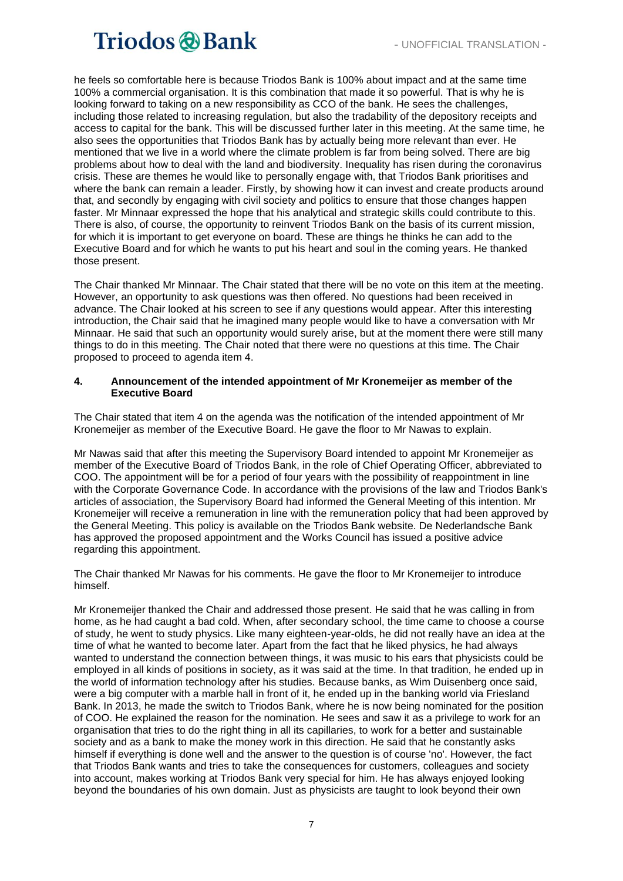he feels so comfortable here is because Triodos Bank is 100% about impact and at the same time 100% a commercial organisation. It is this combination that made it so powerful. That is why he is looking forward to taking on a new responsibility as CCO of the bank. He sees the challenges, including those related to increasing regulation, but also the tradability of the depository receipts and access to capital for the bank. This will be discussed further later in this meeting. At the same time, he also sees the opportunities that Triodos Bank has by actually being more relevant than ever. He mentioned that we live in a world where the climate problem is far from being solved. There are big problems about how to deal with the land and biodiversity. Inequality has risen during the coronavirus crisis. These are themes he would like to personally engage with, that Triodos Bank prioritises and where the bank can remain a leader. Firstly, by showing how it can invest and create products around that, and secondly by engaging with civil society and politics to ensure that those changes happen faster. Mr Minnaar expressed the hope that his analytical and strategic skills could contribute to this. There is also, of course, the opportunity to reinvent Triodos Bank on the basis of its current mission, for which it is important to get everyone on board. These are things he thinks he can add to the Executive Board and for which he wants to put his heart and soul in the coming years. He thanked those present.

The Chair thanked Mr Minnaar. The Chair stated that there will be no vote on this item at the meeting. However, an opportunity to ask questions was then offered. No questions had been received in advance. The Chair looked at his screen to see if any questions would appear. After this interesting introduction, the Chair said that he imagined many people would like to have a conversation with Mr Minnaar. He said that such an opportunity would surely arise, but at the moment there were still many things to do in this meeting. The Chair noted that there were no questions at this time. The Chair proposed to proceed to agenda item 4.

#### **4. Announcement of the intended appointment of Mr Kronemeijer as member of the Executive Board**

The Chair stated that item 4 on the agenda was the notification of the intended appointment of Mr Kronemeijer as member of the Executive Board. He gave the floor to Mr Nawas to explain.

Mr Nawas said that after this meeting the Supervisory Board intended to appoint Mr Kronemeijer as member of the Executive Board of Triodos Bank, in the role of Chief Operating Officer, abbreviated to COO. The appointment will be for a period of four years with the possibility of reappointment in line with the Corporate Governance Code. In accordance with the provisions of the law and Triodos Bank's articles of association, the Supervisory Board had informed the General Meeting of this intention. Mr Kronemeijer will receive a remuneration in line with the remuneration policy that had been approved by the General Meeting. This policy is available on the Triodos Bank website. De Nederlandsche Bank has approved the proposed appointment and the Works Council has issued a positive advice regarding this appointment.

The Chair thanked Mr Nawas for his comments. He gave the floor to Mr Kronemeijer to introduce himself.

Mr Kronemeijer thanked the Chair and addressed those present. He said that he was calling in from home, as he had caught a bad cold. When, after secondary school, the time came to choose a course of study, he went to study physics. Like many eighteen-year-olds, he did not really have an idea at the time of what he wanted to become later. Apart from the fact that he liked physics, he had always wanted to understand the connection between things, it was music to his ears that physicists could be employed in all kinds of positions in society, as it was said at the time. In that tradition, he ended up in the world of information technology after his studies. Because banks, as Wim Duisenberg once said, were a big computer with a marble hall in front of it, he ended up in the banking world via Friesland Bank. In 2013, he made the switch to Triodos Bank, where he is now being nominated for the position of COO. He explained the reason for the nomination. He sees and saw it as a privilege to work for an organisation that tries to do the right thing in all its capillaries, to work for a better and sustainable society and as a bank to make the money work in this direction. He said that he constantly asks himself if everything is done well and the answer to the question is of course 'no'. However, the fact that Triodos Bank wants and tries to take the consequences for customers, colleagues and society into account, makes working at Triodos Bank very special for him. He has always enjoyed looking beyond the boundaries of his own domain. Just as physicists are taught to look beyond their own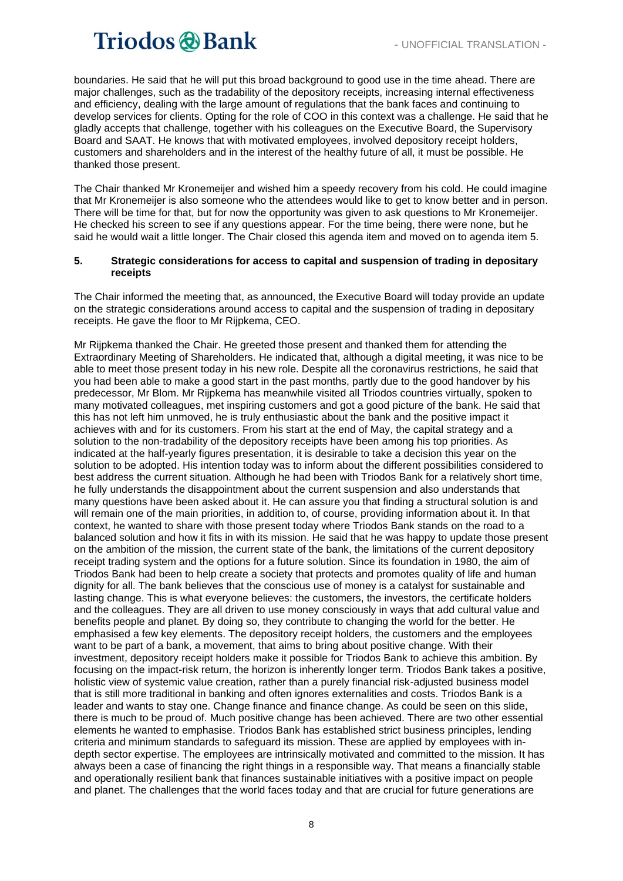boundaries. He said that he will put this broad background to good use in the time ahead. There are major challenges, such as the tradability of the depository receipts, increasing internal effectiveness and efficiency, dealing with the large amount of regulations that the bank faces and continuing to develop services for clients. Opting for the role of COO in this context was a challenge. He said that he gladly accepts that challenge, together with his colleagues on the Executive Board, the Supervisory Board and SAAT. He knows that with motivated employees, involved depository receipt holders, customers and shareholders and in the interest of the healthy future of all, it must be possible. He thanked those present.

The Chair thanked Mr Kronemeijer and wished him a speedy recovery from his cold. He could imagine that Mr Kronemeijer is also someone who the attendees would like to get to know better and in person. There will be time for that, but for now the opportunity was given to ask questions to Mr Kronemeijer. He checked his screen to see if any questions appear. For the time being, there were none, but he said he would wait a little longer. The Chair closed this agenda item and moved on to agenda item 5.

#### **5. Strategic considerations for access to capital and suspension of trading in depositary receipts**

The Chair informed the meeting that, as announced, the Executive Board will today provide an update on the strategic considerations around access to capital and the suspension of trading in depositary receipts. He gave the floor to Mr Rijpkema, CEO.

Mr Rijpkema thanked the Chair. He greeted those present and thanked them for attending the Extraordinary Meeting of Shareholders. He indicated that, although a digital meeting, it was nice to be able to meet those present today in his new role. Despite all the coronavirus restrictions, he said that you had been able to make a good start in the past months, partly due to the good handover by his predecessor, Mr Blom. Mr Rijpkema has meanwhile visited all Triodos countries virtually, spoken to many motivated colleagues, met inspiring customers and got a good picture of the bank. He said that this has not left him unmoved, he is truly enthusiastic about the bank and the positive impact it achieves with and for its customers. From his start at the end of May, the capital strategy and a solution to the non-tradability of the depository receipts have been among his top priorities. As indicated at the half-yearly figures presentation, it is desirable to take a decision this year on the solution to be adopted. His intention today was to inform about the different possibilities considered to best address the current situation. Although he had been with Triodos Bank for a relatively short time, he fully understands the disappointment about the current suspension and also understands that many questions have been asked about it. He can assure you that finding a structural solution is and will remain one of the main priorities, in addition to, of course, providing information about it. In that context, he wanted to share with those present today where Triodos Bank stands on the road to a balanced solution and how it fits in with its mission. He said that he was happy to update those present on the ambition of the mission, the current state of the bank, the limitations of the current depository receipt trading system and the options for a future solution. Since its foundation in 1980, the aim of Triodos Bank had been to help create a society that protects and promotes quality of life and human dignity for all. The bank believes that the conscious use of money is a catalyst for sustainable and lasting change. This is what everyone believes: the customers, the investors, the certificate holders and the colleagues. They are all driven to use money consciously in ways that add cultural value and benefits people and planet. By doing so, they contribute to changing the world for the better. He emphasised a few key elements. The depository receipt holders, the customers and the employees want to be part of a bank, a movement, that aims to bring about positive change. With their investment, depository receipt holders make it possible for Triodos Bank to achieve this ambition. By focusing on the impact-risk return, the horizon is inherently longer term. Triodos Bank takes a positive, holistic view of systemic value creation, rather than a purely financial risk-adjusted business model that is still more traditional in banking and often ignores externalities and costs. Triodos Bank is a leader and wants to stay one. Change finance and finance change. As could be seen on this slide, there is much to be proud of. Much positive change has been achieved. There are two other essential elements he wanted to emphasise. Triodos Bank has established strict business principles, lending criteria and minimum standards to safeguard its mission. These are applied by employees with indepth sector expertise. The employees are intrinsically motivated and committed to the mission. It has always been a case of financing the right things in a responsible way. That means a financially stable and operationally resilient bank that finances sustainable initiatives with a positive impact on people and planet. The challenges that the world faces today and that are crucial for future generations are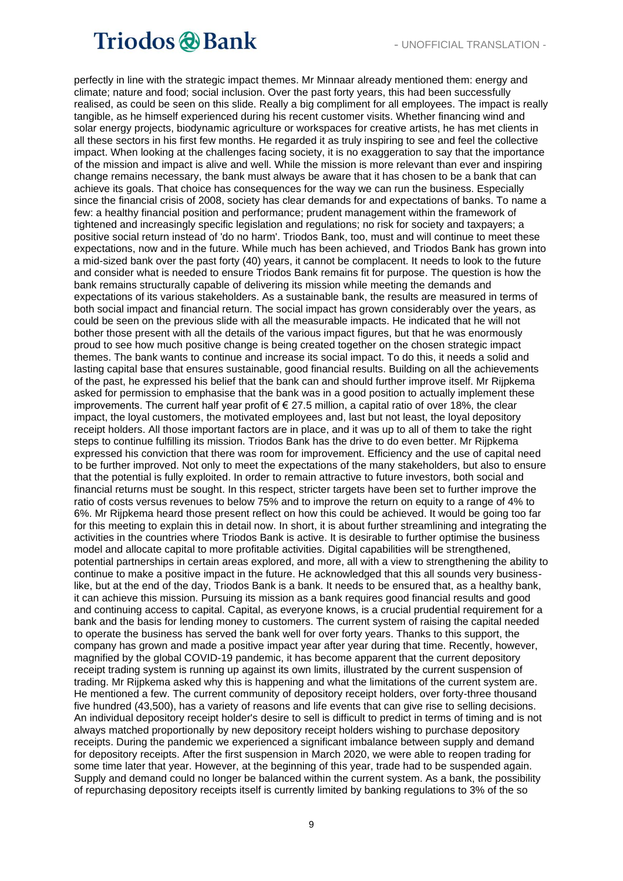perfectly in line with the strategic impact themes. Mr Minnaar already mentioned them: energy and climate; nature and food; social inclusion. Over the past forty years, this had been successfully realised, as could be seen on this slide. Really a big compliment for all employees. The impact is really tangible, as he himself experienced during his recent customer visits. Whether financing wind and solar energy projects, biodynamic agriculture or workspaces for creative artists, he has met clients in all these sectors in his first few months. He regarded it as truly inspiring to see and feel the collective impact. When looking at the challenges facing society, it is no exaggeration to say that the importance of the mission and impact is alive and well. While the mission is more relevant than ever and inspiring change remains necessary, the bank must always be aware that it has chosen to be a bank that can achieve its goals. That choice has consequences for the way we can run the business. Especially since the financial crisis of 2008, society has clear demands for and expectations of banks. To name a few: a healthy financial position and performance; prudent management within the framework of tightened and increasingly specific legislation and regulations; no risk for society and taxpayers; a positive social return instead of 'do no harm'. Triodos Bank, too, must and will continue to meet these expectations, now and in the future. While much has been achieved, and Triodos Bank has grown into a mid-sized bank over the past forty (40) years, it cannot be complacent. It needs to look to the future and consider what is needed to ensure Triodos Bank remains fit for purpose. The question is how the bank remains structurally capable of delivering its mission while meeting the demands and expectations of its various stakeholders. As a sustainable bank, the results are measured in terms of both social impact and financial return. The social impact has grown considerably over the years, as could be seen on the previous slide with all the measurable impacts. He indicated that he will not bother those present with all the details of the various impact figures, but that he was enormously proud to see how much positive change is being created together on the chosen strategic impact themes. The bank wants to continue and increase its social impact. To do this, it needs a solid and lasting capital base that ensures sustainable, good financial results. Building on all the achievements of the past, he expressed his belief that the bank can and should further improve itself. Mr Rijpkema asked for permission to emphasise that the bank was in a good position to actually implement these improvements. The current half year profit of  $\epsilon$  27.5 million, a capital ratio of over 18%, the clear impact, the loyal customers, the motivated employees and, last but not least, the loyal depository receipt holders. All those important factors are in place, and it was up to all of them to take the right steps to continue fulfilling its mission. Triodos Bank has the drive to do even better. Mr Rijpkema expressed his conviction that there was room for improvement. Efficiency and the use of capital need to be further improved. Not only to meet the expectations of the many stakeholders, but also to ensure that the potential is fully exploited. In order to remain attractive to future investors, both social and financial returns must be sought. In this respect, stricter targets have been set to further improve the ratio of costs versus revenues to below 75% and to improve the return on equity to a range of 4% to 6%. Mr Rijpkema heard those present reflect on how this could be achieved. It would be going too far for this meeting to explain this in detail now. In short, it is about further streamlining and integrating the activities in the countries where Triodos Bank is active. It is desirable to further optimise the business model and allocate capital to more profitable activities. Digital capabilities will be strengthened, potential partnerships in certain areas explored, and more, all with a view to strengthening the ability to continue to make a positive impact in the future. He acknowledged that this all sounds very businesslike, but at the end of the day, Triodos Bank is a bank. It needs to be ensured that, as a healthy bank, it can achieve this mission. Pursuing its mission as a bank requires good financial results and good and continuing access to capital. Capital, as everyone knows, is a crucial prudential requirement for a bank and the basis for lending money to customers. The current system of raising the capital needed to operate the business has served the bank well for over forty years. Thanks to this support, the company has grown and made a positive impact year after year during that time. Recently, however, magnified by the global COVID-19 pandemic, it has become apparent that the current depository receipt trading system is running up against its own limits, illustrated by the current suspension of trading. Mr Rijpkema asked why this is happening and what the limitations of the current system are. He mentioned a few. The current community of depository receipt holders, over forty-three thousand five hundred (43,500), has a variety of reasons and life events that can give rise to selling decisions. An individual depository receipt holder's desire to sell is difficult to predict in terms of timing and is not always matched proportionally by new depository receipt holders wishing to purchase depository receipts. During the pandemic we experienced a significant imbalance between supply and demand for depository receipts. After the first suspension in March 2020, we were able to reopen trading for some time later that year. However, at the beginning of this year, trade had to be suspended again. Supply and demand could no longer be balanced within the current system. As a bank, the possibility of repurchasing depository receipts itself is currently limited by banking regulations to 3% of the so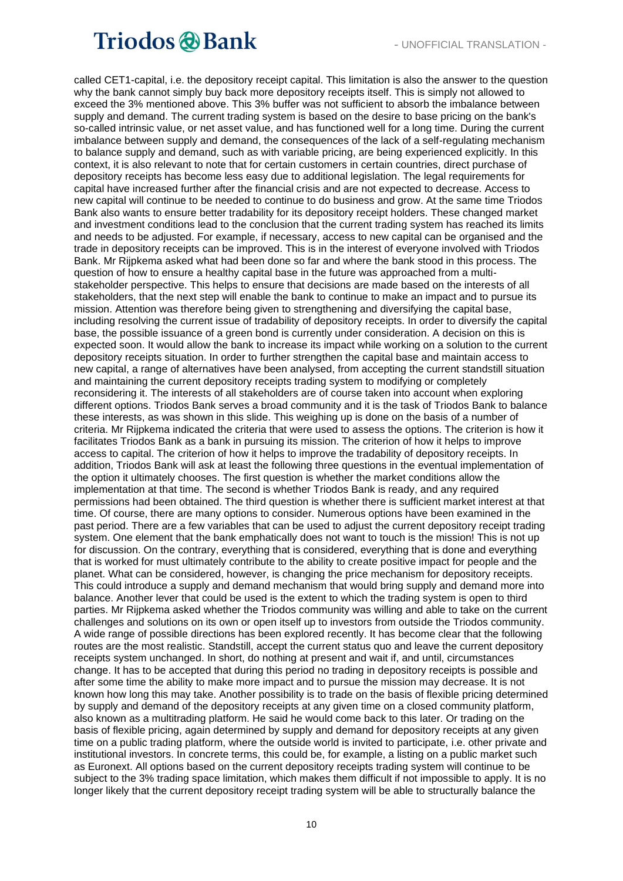called CET1-capital, i.e. the depository receipt capital. This limitation is also the answer to the question why the bank cannot simply buy back more depository receipts itself. This is simply not allowed to exceed the 3% mentioned above. This 3% buffer was not sufficient to absorb the imbalance between supply and demand. The current trading system is based on the desire to base pricing on the bank's so-called intrinsic value, or net asset value, and has functioned well for a long time. During the current imbalance between supply and demand, the consequences of the lack of a self-regulating mechanism to balance supply and demand, such as with variable pricing, are being experienced explicitly. In this context, it is also relevant to note that for certain customers in certain countries, direct purchase of depository receipts has become less easy due to additional legislation. The legal requirements for capital have increased further after the financial crisis and are not expected to decrease. Access to new capital will continue to be needed to continue to do business and grow. At the same time Triodos Bank also wants to ensure better tradability for its depository receipt holders. These changed market and investment conditions lead to the conclusion that the current trading system has reached its limits and needs to be adjusted. For example, if necessary, access to new capital can be organised and the trade in depository receipts can be improved. This is in the interest of everyone involved with Triodos Bank. Mr Rijpkema asked what had been done so far and where the bank stood in this process. The question of how to ensure a healthy capital base in the future was approached from a multistakeholder perspective. This helps to ensure that decisions are made based on the interests of all stakeholders, that the next step will enable the bank to continue to make an impact and to pursue its mission. Attention was therefore being given to strengthening and diversifying the capital base, including resolving the current issue of tradability of depository receipts. In order to diversify the capital base, the possible issuance of a green bond is currently under consideration. A decision on this is expected soon. It would allow the bank to increase its impact while working on a solution to the current depository receipts situation. In order to further strengthen the capital base and maintain access to new capital, a range of alternatives have been analysed, from accepting the current standstill situation and maintaining the current depository receipts trading system to modifying or completely reconsidering it. The interests of all stakeholders are of course taken into account when exploring different options. Triodos Bank serves a broad community and it is the task of Triodos Bank to balance these interests, as was shown in this slide. This weighing up is done on the basis of a number of criteria. Mr Rijpkema indicated the criteria that were used to assess the options. The criterion is how it facilitates Triodos Bank as a bank in pursuing its mission. The criterion of how it helps to improve access to capital. The criterion of how it helps to improve the tradability of depository receipts. In addition, Triodos Bank will ask at least the following three questions in the eventual implementation of the option it ultimately chooses. The first question is whether the market conditions allow the implementation at that time. The second is whether Triodos Bank is ready, and any required permissions had been obtained. The third question is whether there is sufficient market interest at that time. Of course, there are many options to consider. Numerous options have been examined in the past period. There are a few variables that can be used to adjust the current depository receipt trading system. One element that the bank emphatically does not want to touch is the mission! This is not up for discussion. On the contrary, everything that is considered, everything that is done and everything that is worked for must ultimately contribute to the ability to create positive impact for people and the planet. What can be considered, however, is changing the price mechanism for depository receipts. This could introduce a supply and demand mechanism that would bring supply and demand more into balance. Another lever that could be used is the extent to which the trading system is open to third parties. Mr Rijpkema asked whether the Triodos community was willing and able to take on the current challenges and solutions on its own or open itself up to investors from outside the Triodos community. A wide range of possible directions has been explored recently. It has become clear that the following routes are the most realistic. Standstill, accept the current status quo and leave the current depository receipts system unchanged. In short, do nothing at present and wait if, and until, circumstances change. It has to be accepted that during this period no trading in depository receipts is possible and after some time the ability to make more impact and to pursue the mission may decrease. It is not known how long this may take. Another possibility is to trade on the basis of flexible pricing determined by supply and demand of the depository receipts at any given time on a closed community platform, also known as a multitrading platform. He said he would come back to this later. Or trading on the basis of flexible pricing, again determined by supply and demand for depository receipts at any given time on a public trading platform, where the outside world is invited to participate, i.e. other private and institutional investors. In concrete terms, this could be, for example, a listing on a public market such as Euronext. All options based on the current depository receipts trading system will continue to be subject to the 3% trading space limitation, which makes them difficult if not impossible to apply. It is no longer likely that the current depository receipt trading system will be able to structurally balance the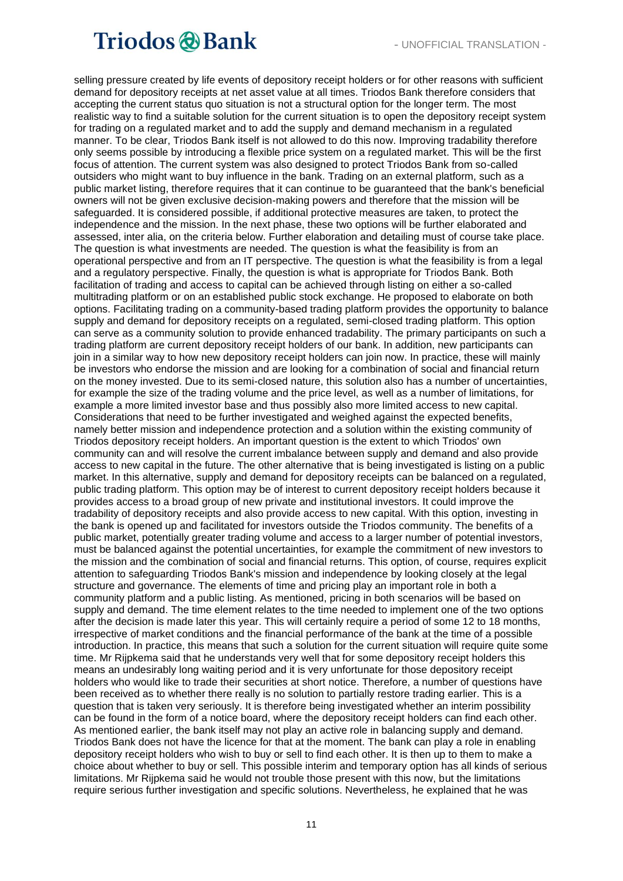selling pressure created by life events of depository receipt holders or for other reasons with sufficient demand for depository receipts at net asset value at all times. Triodos Bank therefore considers that accepting the current status quo situation is not a structural option for the longer term. The most realistic way to find a suitable solution for the current situation is to open the depository receipt system for trading on a regulated market and to add the supply and demand mechanism in a regulated manner. To be clear, Triodos Bank itself is not allowed to do this now. Improving tradability therefore only seems possible by introducing a flexible price system on a regulated market. This will be the first focus of attention. The current system was also designed to protect Triodos Bank from so-called outsiders who might want to buy influence in the bank. Trading on an external platform, such as a public market listing, therefore requires that it can continue to be guaranteed that the bank's beneficial owners will not be given exclusive decision-making powers and therefore that the mission will be safeguarded. It is considered possible, if additional protective measures are taken, to protect the independence and the mission. In the next phase, these two options will be further elaborated and assessed, inter alia, on the criteria below. Further elaboration and detailing must of course take place. The question is what investments are needed. The question is what the feasibility is from an operational perspective and from an IT perspective. The question is what the feasibility is from a legal and a regulatory perspective. Finally, the question is what is appropriate for Triodos Bank. Both facilitation of trading and access to capital can be achieved through listing on either a so-called multitrading platform or on an established public stock exchange. He proposed to elaborate on both options. Facilitating trading on a community-based trading platform provides the opportunity to balance supply and demand for depository receipts on a regulated, semi-closed trading platform. This option can serve as a community solution to provide enhanced tradability. The primary participants on such a trading platform are current depository receipt holders of our bank. In addition, new participants can join in a similar way to how new depository receipt holders can join now. In practice, these will mainly be investors who endorse the mission and are looking for a combination of social and financial return on the money invested. Due to its semi-closed nature, this solution also has a number of uncertainties, for example the size of the trading volume and the price level, as well as a number of limitations, for example a more limited investor base and thus possibly also more limited access to new capital. Considerations that need to be further investigated and weighed against the expected benefits, namely better mission and independence protection and a solution within the existing community of Triodos depository receipt holders. An important question is the extent to which Triodos' own community can and will resolve the current imbalance between supply and demand and also provide access to new capital in the future. The other alternative that is being investigated is listing on a public market. In this alternative, supply and demand for depository receipts can be balanced on a regulated, public trading platform. This option may be of interest to current depository receipt holders because it provides access to a broad group of new private and institutional investors. It could improve the tradability of depository receipts and also provide access to new capital. With this option, investing in the bank is opened up and facilitated for investors outside the Triodos community. The benefits of a public market, potentially greater trading volume and access to a larger number of potential investors, must be balanced against the potential uncertainties, for example the commitment of new investors to the mission and the combination of social and financial returns. This option, of course, requires explicit attention to safeguarding Triodos Bank's mission and independence by looking closely at the legal structure and governance. The elements of time and pricing play an important role in both a community platform and a public listing. As mentioned, pricing in both scenarios will be based on supply and demand. The time element relates to the time needed to implement one of the two options after the decision is made later this year. This will certainly require a period of some 12 to 18 months, irrespective of market conditions and the financial performance of the bank at the time of a possible introduction. In practice, this means that such a solution for the current situation will require quite some time. Mr Rijpkema said that he understands very well that for some depository receipt holders this means an undesirably long waiting period and it is very unfortunate for those depository receipt holders who would like to trade their securities at short notice. Therefore, a number of questions have been received as to whether there really is no solution to partially restore trading earlier. This is a question that is taken very seriously. It is therefore being investigated whether an interim possibility can be found in the form of a notice board, where the depository receipt holders can find each other. As mentioned earlier, the bank itself may not play an active role in balancing supply and demand. Triodos Bank does not have the licence for that at the moment. The bank can play a role in enabling depository receipt holders who wish to buy or sell to find each other. It is then up to them to make a choice about whether to buy or sell. This possible interim and temporary option has all kinds of serious limitations. Mr Rijpkema said he would not trouble those present with this now, but the limitations require serious further investigation and specific solutions. Nevertheless, he explained that he was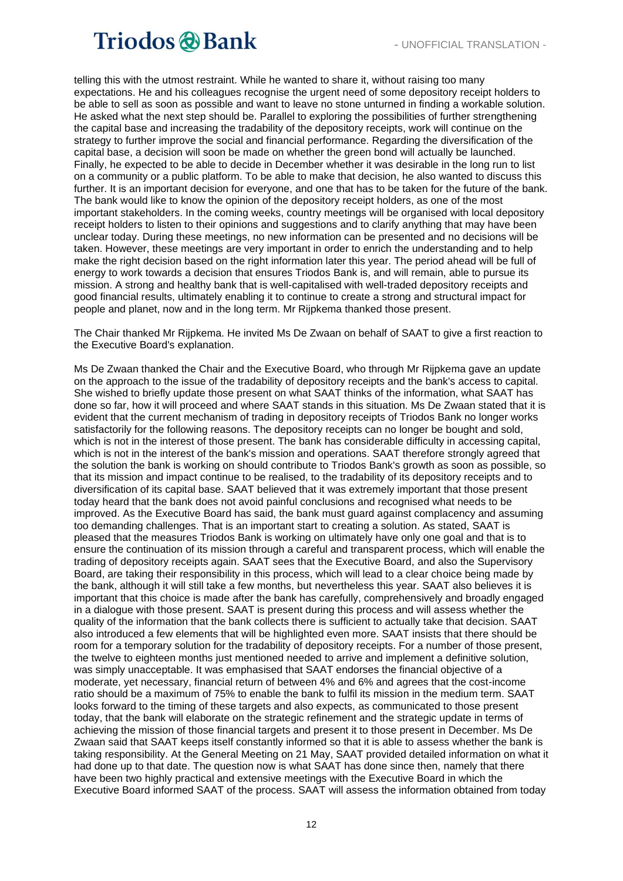telling this with the utmost restraint. While he wanted to share it, without raising too many expectations. He and his colleagues recognise the urgent need of some depository receipt holders to be able to sell as soon as possible and want to leave no stone unturned in finding a workable solution. He asked what the next step should be. Parallel to exploring the possibilities of further strengthening the capital base and increasing the tradability of the depository receipts, work will continue on the strategy to further improve the social and financial performance. Regarding the diversification of the capital base, a decision will soon be made on whether the green bond will actually be launched. Finally, he expected to be able to decide in December whether it was desirable in the long run to list on a community or a public platform. To be able to make that decision, he also wanted to discuss this further. It is an important decision for everyone, and one that has to be taken for the future of the bank. The bank would like to know the opinion of the depository receipt holders, as one of the most important stakeholders. In the coming weeks, country meetings will be organised with local depository receipt holders to listen to their opinions and suggestions and to clarify anything that may have been unclear today. During these meetings, no new information can be presented and no decisions will be taken. However, these meetings are very important in order to enrich the understanding and to help make the right decision based on the right information later this year. The period ahead will be full of energy to work towards a decision that ensures Triodos Bank is, and will remain, able to pursue its mission. A strong and healthy bank that is well-capitalised with well-traded depository receipts and good financial results, ultimately enabling it to continue to create a strong and structural impact for people and planet, now and in the long term. Mr Rijpkema thanked those present.

The Chair thanked Mr Rijpkema. He invited Ms De Zwaan on behalf of SAAT to give a first reaction to the Executive Board's explanation.

Ms De Zwaan thanked the Chair and the Executive Board, who through Mr Rijpkema gave an update on the approach to the issue of the tradability of depository receipts and the bank's access to capital. She wished to briefly update those present on what SAAT thinks of the information, what SAAT has done so far, how it will proceed and where SAAT stands in this situation. Ms De Zwaan stated that it is evident that the current mechanism of trading in depository receipts of Triodos Bank no longer works satisfactorily for the following reasons. The depository receipts can no longer be bought and sold, which is not in the interest of those present. The bank has considerable difficulty in accessing capital, which is not in the interest of the bank's mission and operations. SAAT therefore strongly agreed that the solution the bank is working on should contribute to Triodos Bank's growth as soon as possible, so that its mission and impact continue to be realised, to the tradability of its depository receipts and to diversification of its capital base. SAAT believed that it was extremely important that those present today heard that the bank does not avoid painful conclusions and recognised what needs to be improved. As the Executive Board has said, the bank must guard against complacency and assuming too demanding challenges. That is an important start to creating a solution. As stated, SAAT is pleased that the measures Triodos Bank is working on ultimately have only one goal and that is to ensure the continuation of its mission through a careful and transparent process, which will enable the trading of depository receipts again. SAAT sees that the Executive Board, and also the Supervisory Board, are taking their responsibility in this process, which will lead to a clear choice being made by the bank, although it will still take a few months, but nevertheless this year. SAAT also believes it is important that this choice is made after the bank has carefully, comprehensively and broadly engaged in a dialogue with those present. SAAT is present during this process and will assess whether the quality of the information that the bank collects there is sufficient to actually take that decision. SAAT also introduced a few elements that will be highlighted even more. SAAT insists that there should be room for a temporary solution for the tradability of depository receipts. For a number of those present, the twelve to eighteen months just mentioned needed to arrive and implement a definitive solution, was simply unacceptable. It was emphasised that SAAT endorses the financial objective of a moderate, yet necessary, financial return of between 4% and 6% and agrees that the cost-income ratio should be a maximum of 75% to enable the bank to fulfil its mission in the medium term. SAAT looks forward to the timing of these targets and also expects, as communicated to those present today, that the bank will elaborate on the strategic refinement and the strategic update in terms of achieving the mission of those financial targets and present it to those present in December. Ms De Zwaan said that SAAT keeps itself constantly informed so that it is able to assess whether the bank is taking responsibility. At the General Meeting on 21 May, SAAT provided detailed information on what it had done up to that date. The question now is what SAAT has done since then, namely that there have been two highly practical and extensive meetings with the Executive Board in which the Executive Board informed SAAT of the process. SAAT will assess the information obtained from today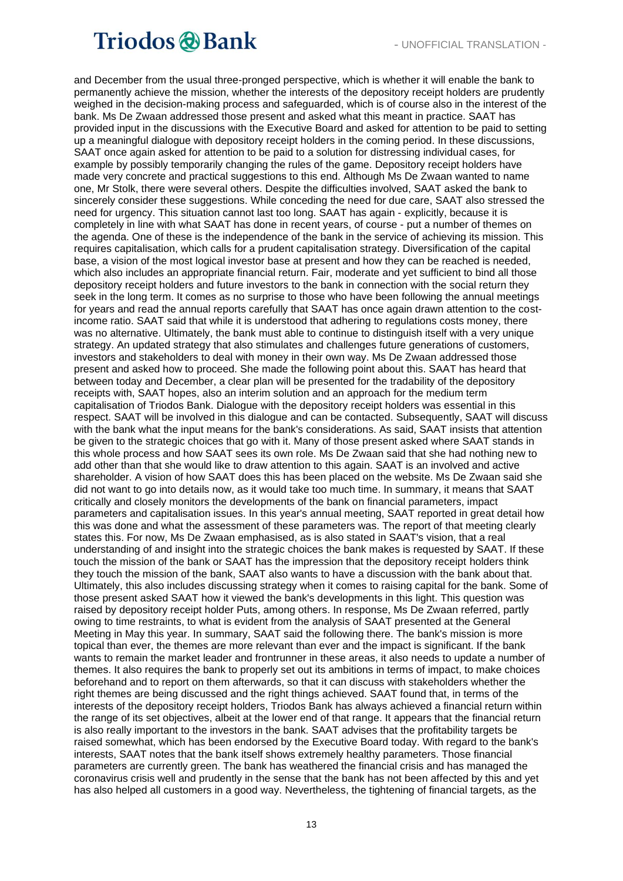and December from the usual three-pronged perspective, which is whether it will enable the bank to permanently achieve the mission, whether the interests of the depository receipt holders are prudently weighed in the decision-making process and safeguarded, which is of course also in the interest of the bank. Ms De Zwaan addressed those present and asked what this meant in practice. SAAT has provided input in the discussions with the Executive Board and asked for attention to be paid to setting up a meaningful dialogue with depository receipt holders in the coming period. In these discussions, SAAT once again asked for attention to be paid to a solution for distressing individual cases, for example by possibly temporarily changing the rules of the game. Depository receipt holders have made very concrete and practical suggestions to this end. Although Ms De Zwaan wanted to name one, Mr Stolk, there were several others. Despite the difficulties involved, SAAT asked the bank to sincerely consider these suggestions. While conceding the need for due care, SAAT also stressed the need for urgency. This situation cannot last too long. SAAT has again - explicitly, because it is completely in line with what SAAT has done in recent years, of course - put a number of themes on the agenda. One of these is the independence of the bank in the service of achieving its mission. This requires capitalisation, which calls for a prudent capitalisation strategy. Diversification of the capital base, a vision of the most logical investor base at present and how they can be reached is needed, which also includes an appropriate financial return. Fair, moderate and yet sufficient to bind all those depository receipt holders and future investors to the bank in connection with the social return they seek in the long term. It comes as no surprise to those who have been following the annual meetings for years and read the annual reports carefully that SAAT has once again drawn attention to the costincome ratio. SAAT said that while it is understood that adhering to regulations costs money, there was no alternative. Ultimately, the bank must able to continue to distinguish itself with a very unique strategy. An updated strategy that also stimulates and challenges future generations of customers, investors and stakeholders to deal with money in their own way. Ms De Zwaan addressed those present and asked how to proceed. She made the following point about this. SAAT has heard that between today and December, a clear plan will be presented for the tradability of the depository receipts with, SAAT hopes, also an interim solution and an approach for the medium term capitalisation of Triodos Bank. Dialogue with the depository receipt holders was essential in this respect. SAAT will be involved in this dialogue and can be contacted. Subsequently, SAAT will discuss with the bank what the input means for the bank's considerations. As said, SAAT insists that attention be given to the strategic choices that go with it. Many of those present asked where SAAT stands in this whole process and how SAAT sees its own role. Ms De Zwaan said that she had nothing new to add other than that she would like to draw attention to this again. SAAT is an involved and active shareholder. A vision of how SAAT does this has been placed on the website. Ms De Zwaan said she did not want to go into details now, as it would take too much time. In summary, it means that SAAT critically and closely monitors the developments of the bank on financial parameters, impact parameters and capitalisation issues. In this year's annual meeting, SAAT reported in great detail how this was done and what the assessment of these parameters was. The report of that meeting clearly states this. For now, Ms De Zwaan emphasised, as is also stated in SAAT's vision, that a real understanding of and insight into the strategic choices the bank makes is requested by SAAT. If these touch the mission of the bank or SAAT has the impression that the depository receipt holders think they touch the mission of the bank, SAAT also wants to have a discussion with the bank about that. Ultimately, this also includes discussing strategy when it comes to raising capital for the bank. Some of those present asked SAAT how it viewed the bank's developments in this light. This question was raised by depository receipt holder Puts, among others. In response, Ms De Zwaan referred, partly owing to time restraints, to what is evident from the analysis of SAAT presented at the General Meeting in May this year. In summary, SAAT said the following there. The bank's mission is more topical than ever, the themes are more relevant than ever and the impact is significant. If the bank wants to remain the market leader and frontrunner in these areas, it also needs to update a number of themes. It also requires the bank to properly set out its ambitions in terms of impact, to make choices beforehand and to report on them afterwards, so that it can discuss with stakeholders whether the right themes are being discussed and the right things achieved. SAAT found that, in terms of the interests of the depository receipt holders, Triodos Bank has always achieved a financial return within the range of its set objectives, albeit at the lower end of that range. It appears that the financial return is also really important to the investors in the bank. SAAT advises that the profitability targets be raised somewhat, which has been endorsed by the Executive Board today. With regard to the bank's interests, SAAT notes that the bank itself shows extremely healthy parameters. Those financial parameters are currently green. The bank has weathered the financial crisis and has managed the coronavirus crisis well and prudently in the sense that the bank has not been affected by this and yet has also helped all customers in a good way. Nevertheless, the tightening of financial targets, as the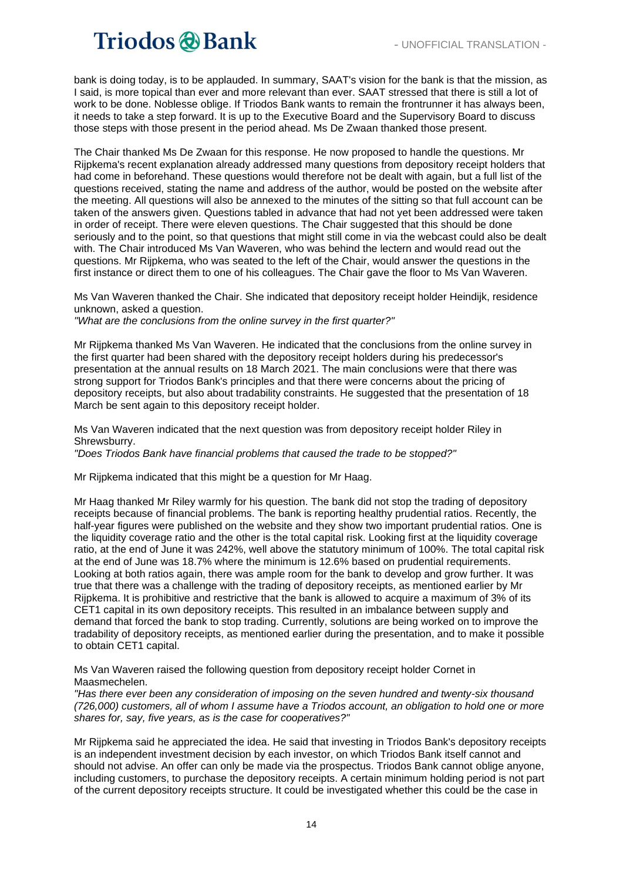bank is doing today, is to be applauded. In summary, SAAT's vision for the bank is that the mission, as I said, is more topical than ever and more relevant than ever. SAAT stressed that there is still a lot of work to be done. Noblesse oblige. If Triodos Bank wants to remain the frontrunner it has always been, it needs to take a step forward. It is up to the Executive Board and the Supervisory Board to discuss those steps with those present in the period ahead. Ms De Zwaan thanked those present.

The Chair thanked Ms De Zwaan for this response. He now proposed to handle the questions. Mr Rijpkema's recent explanation already addressed many questions from depository receipt holders that had come in beforehand. These questions would therefore not be dealt with again, but a full list of the questions received, stating the name and address of the author, would be posted on the website after the meeting. All questions will also be annexed to the minutes of the sitting so that full account can be taken of the answers given. Questions tabled in advance that had not yet been addressed were taken in order of receipt. There were eleven questions. The Chair suggested that this should be done seriously and to the point, so that questions that might still come in via the webcast could also be dealt with. The Chair introduced Ms Van Waveren, who was behind the lectern and would read out the questions. Mr Rijpkema, who was seated to the left of the Chair, would answer the questions in the first instance or direct them to one of his colleagues. The Chair gave the floor to Ms Van Waveren.

Ms Van Waveren thanked the Chair. She indicated that depository receipt holder Heindijk, residence unknown, asked a question.

*"What are the conclusions from the online survey in the first quarter?"*

Mr Rijpkema thanked Ms Van Waveren. He indicated that the conclusions from the online survey in the first quarter had been shared with the depository receipt holders during his predecessor's presentation at the annual results on 18 March 2021. The main conclusions were that there was strong support for Triodos Bank's principles and that there were concerns about the pricing of depository receipts, but also about tradability constraints. He suggested that the presentation of 18 March be sent again to this depository receipt holder.

Ms Van Waveren indicated that the next question was from depository receipt holder Riley in Shrewsburry.

*"Does Triodos Bank have financial problems that caused the trade to be stopped?"*

Mr Rijpkema indicated that this might be a question for Mr Haag.

Mr Haag thanked Mr Riley warmly for his question. The bank did not stop the trading of depository receipts because of financial problems. The bank is reporting healthy prudential ratios. Recently, the half-year figures were published on the website and they show two important prudential ratios. One is the liquidity coverage ratio and the other is the total capital risk. Looking first at the liquidity coverage ratio, at the end of June it was 242%, well above the statutory minimum of 100%. The total capital risk at the end of June was 18.7% where the minimum is 12.6% based on prudential requirements. Looking at both ratios again, there was ample room for the bank to develop and grow further. It was true that there was a challenge with the trading of depository receipts, as mentioned earlier by Mr Rijpkema. It is prohibitive and restrictive that the bank is allowed to acquire a maximum of 3% of its CET1 capital in its own depository receipts. This resulted in an imbalance between supply and demand that forced the bank to stop trading. Currently, solutions are being worked on to improve the tradability of depository receipts, as mentioned earlier during the presentation, and to make it possible to obtain CET1 capital.

Ms Van Waveren raised the following question from depository receipt holder Cornet in Maasmechelen.

*"Has there ever been any consideration of imposing on the seven hundred and twenty-six thousand (726,000) customers, all of whom I assume have a Triodos account, an obligation to hold one or more shares for, say, five years, as is the case for cooperatives?"*

Mr Rijpkema said he appreciated the idea. He said that investing in Triodos Bank's depository receipts is an independent investment decision by each investor, on which Triodos Bank itself cannot and should not advise. An offer can only be made via the prospectus. Triodos Bank cannot oblige anyone, including customers, to purchase the depository receipts. A certain minimum holding period is not part of the current depository receipts structure. It could be investigated whether this could be the case in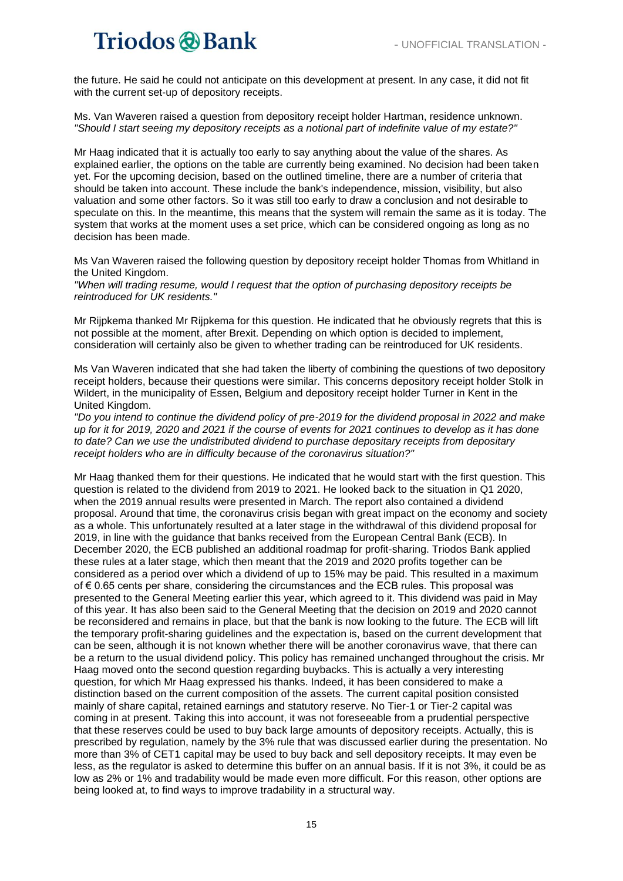the future. He said he could not anticipate on this development at present. In any case, it did not fit with the current set-up of depository receipts.

Ms. Van Waveren raised a question from depository receipt holder Hartman, residence unknown. *"Should I start seeing my depository receipts as a notional part of indefinite value of my estate?"*

Mr Haag indicated that it is actually too early to say anything about the value of the shares. As explained earlier, the options on the table are currently being examined. No decision had been taken yet. For the upcoming decision, based on the outlined timeline, there are a number of criteria that should be taken into account. These include the bank's independence, mission, visibility, but also valuation and some other factors. So it was still too early to draw a conclusion and not desirable to speculate on this. In the meantime, this means that the system will remain the same as it is today. The system that works at the moment uses a set price, which can be considered ongoing as long as no decision has been made.

Ms Van Waveren raised the following question by depository receipt holder Thomas from Whitland in the United Kingdom.

*"When will trading resume, would I request that the option of purchasing depository receipts be reintroduced for UK residents."*

Mr Rijpkema thanked Mr Rijpkema for this question. He indicated that he obviously regrets that this is not possible at the moment, after Brexit. Depending on which option is decided to implement, consideration will certainly also be given to whether trading can be reintroduced for UK residents.

Ms Van Waveren indicated that she had taken the liberty of combining the questions of two depository receipt holders, because their questions were similar. This concerns depository receipt holder Stolk in Wildert, in the municipality of Essen, Belgium and depository receipt holder Turner in Kent in the United Kingdom.

*"Do you intend to continue the dividend policy of pre-2019 for the dividend proposal in 2022 and make up for it for 2019, 2020 and 2021 if the course of events for 2021 continues to develop as it has done to date? Can we use the undistributed dividend to purchase depositary receipts from depositary receipt holders who are in difficulty because of the coronavirus situation?"*

Mr Haag thanked them for their questions. He indicated that he would start with the first question. This question is related to the dividend from 2019 to 2021. He looked back to the situation in Q1 2020, when the 2019 annual results were presented in March. The report also contained a dividend proposal. Around that time, the coronavirus crisis began with great impact on the economy and society as a whole. This unfortunately resulted at a later stage in the withdrawal of this dividend proposal for 2019, in line with the guidance that banks received from the European Central Bank (ECB). In December 2020, the ECB published an additional roadmap for profit-sharing. Triodos Bank applied these rules at a later stage, which then meant that the 2019 and 2020 profits together can be considered as a period over which a dividend of up to 15% may be paid. This resulted in a maximum of € 0.65 cents per share, considering the circumstances and the ECB rules. This proposal was presented to the General Meeting earlier this year, which agreed to it. This dividend was paid in May of this year. It has also been said to the General Meeting that the decision on 2019 and 2020 cannot be reconsidered and remains in place, but that the bank is now looking to the future. The ECB will lift the temporary profit-sharing guidelines and the expectation is, based on the current development that can be seen, although it is not known whether there will be another coronavirus wave, that there can be a return to the usual dividend policy. This policy has remained unchanged throughout the crisis. Mr Haag moved onto the second question regarding buybacks. This is actually a very interesting question, for which Mr Haag expressed his thanks. Indeed, it has been considered to make a distinction based on the current composition of the assets. The current capital position consisted mainly of share capital, retained earnings and statutory reserve. No Tier-1 or Tier-2 capital was coming in at present. Taking this into account, it was not foreseeable from a prudential perspective that these reserves could be used to buy back large amounts of depository receipts. Actually, this is prescribed by regulation, namely by the 3% rule that was discussed earlier during the presentation. No more than 3% of CET1 capital may be used to buy back and sell depository receipts. It may even be less, as the regulator is asked to determine this buffer on an annual basis. If it is not 3%, it could be as low as 2% or 1% and tradability would be made even more difficult. For this reason, other options are being looked at, to find ways to improve tradability in a structural way.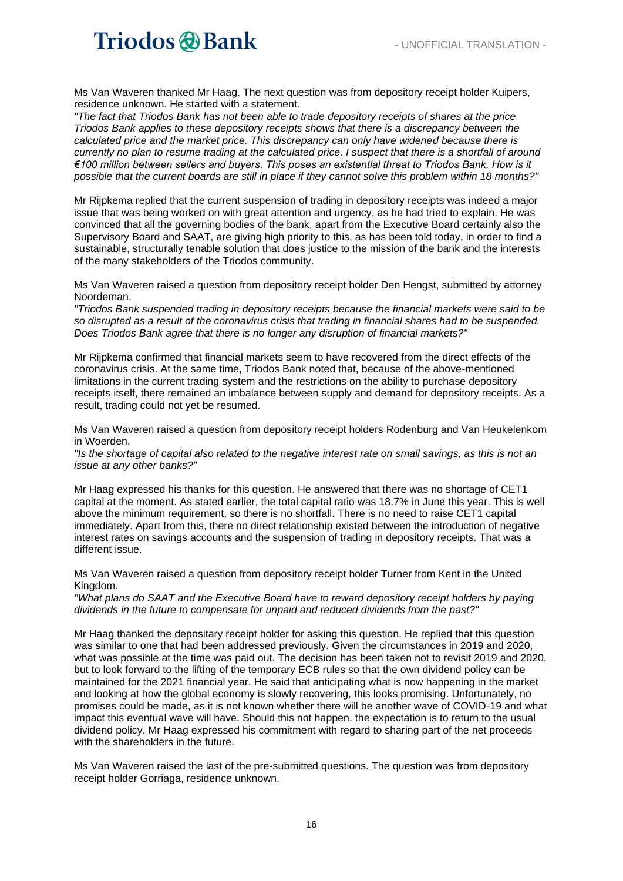Ms Van Waveren thanked Mr Haag. The next question was from depository receipt holder Kuipers, residence unknown. He started with a statement.

*"The fact that Triodos Bank has not been able to trade depository receipts of shares at the price Triodos Bank applies to these depository receipts shows that there is a discrepancy between the calculated price and the market price. This discrepancy can only have widened because there is currently no plan to resume trading at the calculated price. I suspect that there is a shortfall of around €100 million between sellers and buyers. This poses an existential threat to Triodos Bank. How is it possible that the current boards are still in place if they cannot solve this problem within 18 months?"*

Mr Rijpkema replied that the current suspension of trading in depository receipts was indeed a major issue that was being worked on with great attention and urgency, as he had tried to explain. He was convinced that all the governing bodies of the bank, apart from the Executive Board certainly also the Supervisory Board and SAAT, are giving high priority to this, as has been told today, in order to find a sustainable, structurally tenable solution that does justice to the mission of the bank and the interests of the many stakeholders of the Triodos community.

Ms Van Waveren raised a question from depository receipt holder Den Hengst, submitted by attorney Noordeman.

*"Triodos Bank suspended trading in depository receipts because the financial markets were said to be so disrupted as a result of the coronavirus crisis that trading in financial shares had to be suspended. Does Triodos Bank agree that there is no longer any disruption of financial markets?"*

Mr Rijpkema confirmed that financial markets seem to have recovered from the direct effects of the coronavirus crisis. At the same time, Triodos Bank noted that, because of the above-mentioned limitations in the current trading system and the restrictions on the ability to purchase depository receipts itself, there remained an imbalance between supply and demand for depository receipts. As a result, trading could not yet be resumed.

Ms Van Waveren raised a question from depository receipt holders Rodenburg and Van Heukelenkom in Woerden.

*"Is the shortage of capital also related to the negative interest rate on small savings, as this is not an issue at any other banks?"*

Mr Haag expressed his thanks for this question. He answered that there was no shortage of CET1 capital at the moment. As stated earlier, the total capital ratio was 18.7% in June this year. This is well above the minimum requirement, so there is no shortfall. There is no need to raise CET1 capital immediately. Apart from this, there no direct relationship existed between the introduction of negative interest rates on savings accounts and the suspension of trading in depository receipts. That was a different issue.

Ms Van Waveren raised a question from depository receipt holder Turner from Kent in the United Kingdom.

*"What plans do SAAT and the Executive Board have to reward depository receipt holders by paying dividends in the future to compensate for unpaid and reduced dividends from the past?"*

Mr Haag thanked the depositary receipt holder for asking this question. He replied that this question was similar to one that had been addressed previously. Given the circumstances in 2019 and 2020, what was possible at the time was paid out. The decision has been taken not to revisit 2019 and 2020, but to look forward to the lifting of the temporary ECB rules so that the own dividend policy can be maintained for the 2021 financial year. He said that anticipating what is now happening in the market and looking at how the global economy is slowly recovering, this looks promising. Unfortunately, no promises could be made, as it is not known whether there will be another wave of COVID-19 and what impact this eventual wave will have. Should this not happen, the expectation is to return to the usual dividend policy. Mr Haag expressed his commitment with regard to sharing part of the net proceeds with the shareholders in the future.

Ms Van Waveren raised the last of the pre-submitted questions. The question was from depository receipt holder Gorriaga, residence unknown.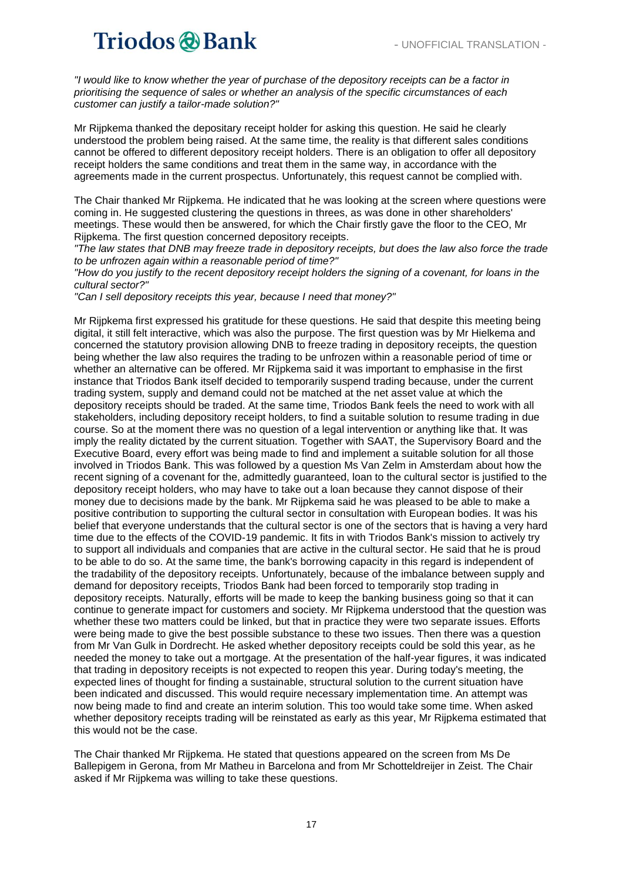*"I would like to know whether the year of purchase of the depository receipts can be a factor in prioritising the sequence of sales or whether an analysis of the specific circumstances of each customer can justify a tailor-made solution?"*

Mr Rijpkema thanked the depositary receipt holder for asking this question. He said he clearly understood the problem being raised. At the same time, the reality is that different sales conditions cannot be offered to different depository receipt holders. There is an obligation to offer all depository receipt holders the same conditions and treat them in the same way, in accordance with the agreements made in the current prospectus. Unfortunately, this request cannot be complied with.

The Chair thanked Mr Rijpkema. He indicated that he was looking at the screen where questions were coming in. He suggested clustering the questions in threes, as was done in other shareholders' meetings. These would then be answered, for which the Chair firstly gave the floor to the CEO, Mr Rijpkema. The first question concerned depository receipts.

*"The law states that DNB may freeze trade in depository receipts, but does the law also force the trade to be unfrozen again within a reasonable period of time?"*

*"How do you justify to the recent depository receipt holders the signing of a covenant, for loans in the cultural sector?"*

*"Can I sell depository receipts this year, because I need that money?"*

Mr Rijpkema first expressed his gratitude for these questions. He said that despite this meeting being digital, it still felt interactive, which was also the purpose. The first question was by Mr Hielkema and concerned the statutory provision allowing DNB to freeze trading in depository receipts, the question being whether the law also requires the trading to be unfrozen within a reasonable period of time or whether an alternative can be offered. Mr Rijpkema said it was important to emphasise in the first instance that Triodos Bank itself decided to temporarily suspend trading because, under the current trading system, supply and demand could not be matched at the net asset value at which the depository receipts should be traded. At the same time, Triodos Bank feels the need to work with all stakeholders, including depository receipt holders, to find a suitable solution to resume trading in due course. So at the moment there was no question of a legal intervention or anything like that. It was imply the reality dictated by the current situation. Together with SAAT, the Supervisory Board and the Executive Board, every effort was being made to find and implement a suitable solution for all those involved in Triodos Bank. This was followed by a question Ms Van Zelm in Amsterdam about how the recent signing of a covenant for the, admittedly guaranteed, loan to the cultural sector is justified to the depository receipt holders, who may have to take out a loan because they cannot dispose of their money due to decisions made by the bank. Mr Rijpkema said he was pleased to be able to make a positive contribution to supporting the cultural sector in consultation with European bodies. It was his belief that everyone understands that the cultural sector is one of the sectors that is having a very hard time due to the effects of the COVID-19 pandemic. It fits in with Triodos Bank's mission to actively try to support all individuals and companies that are active in the cultural sector. He said that he is proud to be able to do so. At the same time, the bank's borrowing capacity in this regard is independent of the tradability of the depository receipts. Unfortunately, because of the imbalance between supply and demand for depository receipts, Triodos Bank had been forced to temporarily stop trading in depository receipts. Naturally, efforts will be made to keep the banking business going so that it can continue to generate impact for customers and society. Mr Rijpkema understood that the question was whether these two matters could be linked, but that in practice they were two separate issues. Efforts were being made to give the best possible substance to these two issues. Then there was a question from Mr Van Gulk in Dordrecht. He asked whether depository receipts could be sold this year, as he needed the money to take out a mortgage. At the presentation of the half-year figures, it was indicated that trading in depository receipts is not expected to reopen this year. During today's meeting, the expected lines of thought for finding a sustainable, structural solution to the current situation have been indicated and discussed. This would require necessary implementation time. An attempt was now being made to find and create an interim solution. This too would take some time. When asked whether depository receipts trading will be reinstated as early as this year, Mr Rijpkema estimated that this would not be the case.

The Chair thanked Mr Rijpkema. He stated that questions appeared on the screen from Ms De Ballepigem in Gerona, from Mr Matheu in Barcelona and from Mr Schotteldreijer in Zeist. The Chair asked if Mr Rijpkema was willing to take these questions.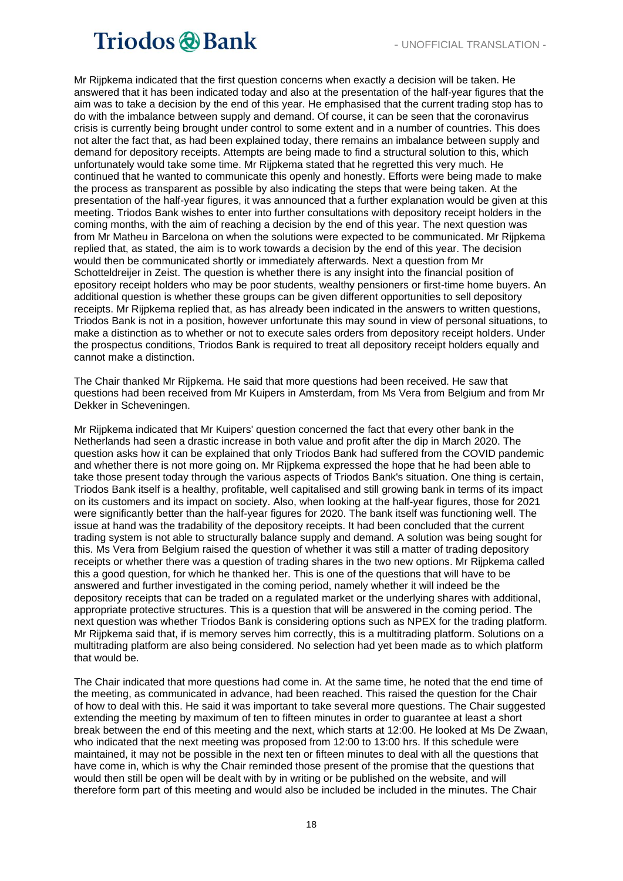Mr Rijpkema indicated that the first question concerns when exactly a decision will be taken. He answered that it has been indicated today and also at the presentation of the half-year figures that the aim was to take a decision by the end of this year. He emphasised that the current trading stop has to do with the imbalance between supply and demand. Of course, it can be seen that the coronavirus crisis is currently being brought under control to some extent and in a number of countries. This does not alter the fact that, as had been explained today, there remains an imbalance between supply and demand for depository receipts. Attempts are being made to find a structural solution to this, which unfortunately would take some time. Mr Rijpkema stated that he regretted this very much. He continued that he wanted to communicate this openly and honestly. Efforts were being made to make the process as transparent as possible by also indicating the steps that were being taken. At the presentation of the half-year figures, it was announced that a further explanation would be given at this meeting. Triodos Bank wishes to enter into further consultations with depository receipt holders in the coming months, with the aim of reaching a decision by the end of this year. The next question was from Mr Matheu in Barcelona on when the solutions were expected to be communicated. Mr Rijpkema replied that, as stated, the aim is to work towards a decision by the end of this year. The decision would then be communicated shortly or immediately afterwards. Next a question from Mr Schotteldreijer in Zeist. The question is whether there is any insight into the financial position of epository receipt holders who may be poor students, wealthy pensioners or first-time home buyers. An additional question is whether these groups can be given different opportunities to sell depository receipts. Mr Rijpkema replied that, as has already been indicated in the answers to written questions, Triodos Bank is not in a position, however unfortunate this may sound in view of personal situations, to make a distinction as to whether or not to execute sales orders from depository receipt holders. Under the prospectus conditions, Triodos Bank is required to treat all depository receipt holders equally and cannot make a distinction.

The Chair thanked Mr Rijpkema. He said that more questions had been received. He saw that questions had been received from Mr Kuipers in Amsterdam, from Ms Vera from Belgium and from Mr Dekker in Scheveningen.

Mr Rijpkema indicated that Mr Kuipers' question concerned the fact that every other bank in the Netherlands had seen a drastic increase in both value and profit after the dip in March 2020. The question asks how it can be explained that only Triodos Bank had suffered from the COVID pandemic and whether there is not more going on. Mr Rijpkema expressed the hope that he had been able to take those present today through the various aspects of Triodos Bank's situation. One thing is certain, Triodos Bank itself is a healthy, profitable, well capitalised and still growing bank in terms of its impact on its customers and its impact on society. Also, when looking at the half-year figures, those for 2021 were significantly better than the half-year figures for 2020. The bank itself was functioning well. The issue at hand was the tradability of the depository receipts. It had been concluded that the current trading system is not able to structurally balance supply and demand. A solution was being sought for this. Ms Vera from Belgium raised the question of whether it was still a matter of trading depository receipts or whether there was a question of trading shares in the two new options. Mr Rijpkema called this a good question, for which he thanked her. This is one of the questions that will have to be answered and further investigated in the coming period, namely whether it will indeed be the depository receipts that can be traded on a regulated market or the underlying shares with additional, appropriate protective structures. This is a question that will be answered in the coming period. The next question was whether Triodos Bank is considering options such as NPEX for the trading platform. Mr Rijpkema said that, if is memory serves him correctly, this is a multitrading platform. Solutions on a multitrading platform are also being considered. No selection had yet been made as to which platform that would be.

The Chair indicated that more questions had come in. At the same time, he noted that the end time of the meeting, as communicated in advance, had been reached. This raised the question for the Chair of how to deal with this. He said it was important to take several more questions. The Chair suggested extending the meeting by maximum of ten to fifteen minutes in order to guarantee at least a short break between the end of this meeting and the next, which starts at 12:00. He looked at Ms De Zwaan, who indicated that the next meeting was proposed from 12:00 to 13:00 hrs. If this schedule were maintained, it may not be possible in the next ten or fifteen minutes to deal with all the questions that have come in, which is why the Chair reminded those present of the promise that the questions that would then still be open will be dealt with by in writing or be published on the website, and will therefore form part of this meeting and would also be included be included in the minutes. The Chair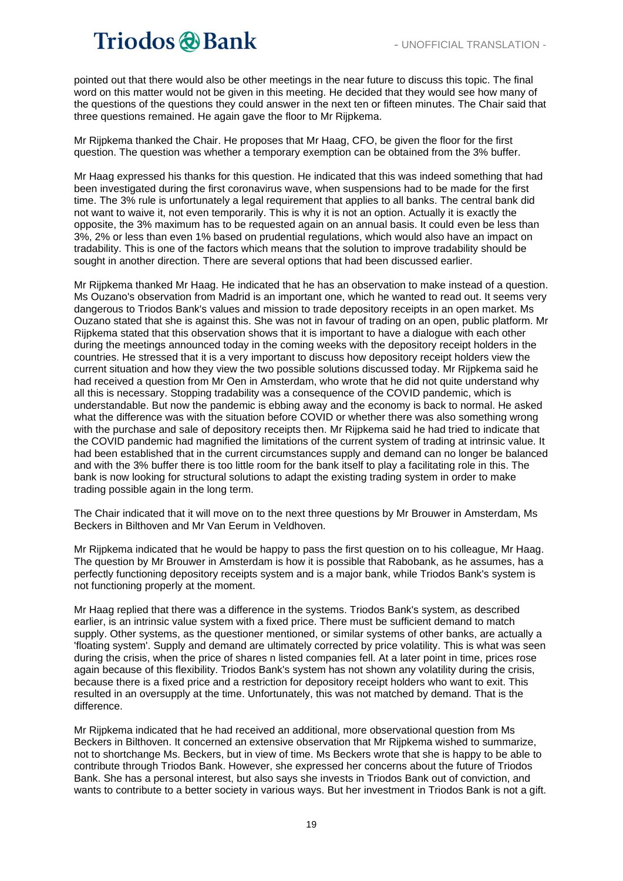pointed out that there would also be other meetings in the near future to discuss this topic. The final word on this matter would not be given in this meeting. He decided that they would see how many of the questions of the questions they could answer in the next ten or fifteen minutes. The Chair said that three questions remained. He again gave the floor to Mr Rijpkema.

Mr Rijpkema thanked the Chair. He proposes that Mr Haag, CFO, be given the floor for the first question. The question was whether a temporary exemption can be obtained from the 3% buffer.

Mr Haag expressed his thanks for this question. He indicated that this was indeed something that had been investigated during the first coronavirus wave, when suspensions had to be made for the first time. The 3% rule is unfortunately a legal requirement that applies to all banks. The central bank did not want to waive it, not even temporarily. This is why it is not an option. Actually it is exactly the opposite, the 3% maximum has to be requested again on an annual basis. It could even be less than 3%, 2% or less than even 1% based on prudential regulations, which would also have an impact on tradability. This is one of the factors which means that the solution to improve tradability should be sought in another direction. There are several options that had been discussed earlier.

Mr Rijpkema thanked Mr Haag. He indicated that he has an observation to make instead of a question. Ms Ouzano's observation from Madrid is an important one, which he wanted to read out. It seems very dangerous to Triodos Bank's values and mission to trade depository receipts in an open market. Ms Ouzano stated that she is against this. She was not in favour of trading on an open, public platform. Mr Rijpkema stated that this observation shows that it is important to have a dialogue with each other during the meetings announced today in the coming weeks with the depository receipt holders in the countries. He stressed that it is a very important to discuss how depository receipt holders view the current situation and how they view the two possible solutions discussed today. Mr Rijpkema said he had received a question from Mr Oen in Amsterdam, who wrote that he did not quite understand why all this is necessary. Stopping tradability was a consequence of the COVID pandemic, which is understandable. But now the pandemic is ebbing away and the economy is back to normal. He asked what the difference was with the situation before COVID or whether there was also something wrong with the purchase and sale of depository receipts then. Mr Rijpkema said he had tried to indicate that the COVID pandemic had magnified the limitations of the current system of trading at intrinsic value. It had been established that in the current circumstances supply and demand can no longer be balanced and with the 3% buffer there is too little room for the bank itself to play a facilitating role in this. The bank is now looking for structural solutions to adapt the existing trading system in order to make trading possible again in the long term.

The Chair indicated that it will move on to the next three questions by Mr Brouwer in Amsterdam, Ms Beckers in Bilthoven and Mr Van Eerum in Veldhoven.

Mr Rijpkema indicated that he would be happy to pass the first question on to his colleague, Mr Haag. The question by Mr Brouwer in Amsterdam is how it is possible that Rabobank, as he assumes, has a perfectly functioning depository receipts system and is a major bank, while Triodos Bank's system is not functioning properly at the moment.

Mr Haag replied that there was a difference in the systems. Triodos Bank's system, as described earlier, is an intrinsic value system with a fixed price. There must be sufficient demand to match supply. Other systems, as the questioner mentioned, or similar systems of other banks, are actually a 'floating system'. Supply and demand are ultimately corrected by price volatility. This is what was seen during the crisis, when the price of shares n listed companies fell. At a later point in time, prices rose again because of this flexibility. Triodos Bank's system has not shown any volatility during the crisis, because there is a fixed price and a restriction for depository receipt holders who want to exit. This resulted in an oversupply at the time. Unfortunately, this was not matched by demand. That is the difference.

Mr Rijpkema indicated that he had received an additional, more observational question from Ms Beckers in Bilthoven. It concerned an extensive observation that Mr Rijpkema wished to summarize, not to shortchange Ms. Beckers, but in view of time. Ms Beckers wrote that she is happy to be able to contribute through Triodos Bank. However, she expressed her concerns about the future of Triodos Bank. She has a personal interest, but also says she invests in Triodos Bank out of conviction, and wants to contribute to a better society in various ways. But her investment in Triodos Bank is not a gift.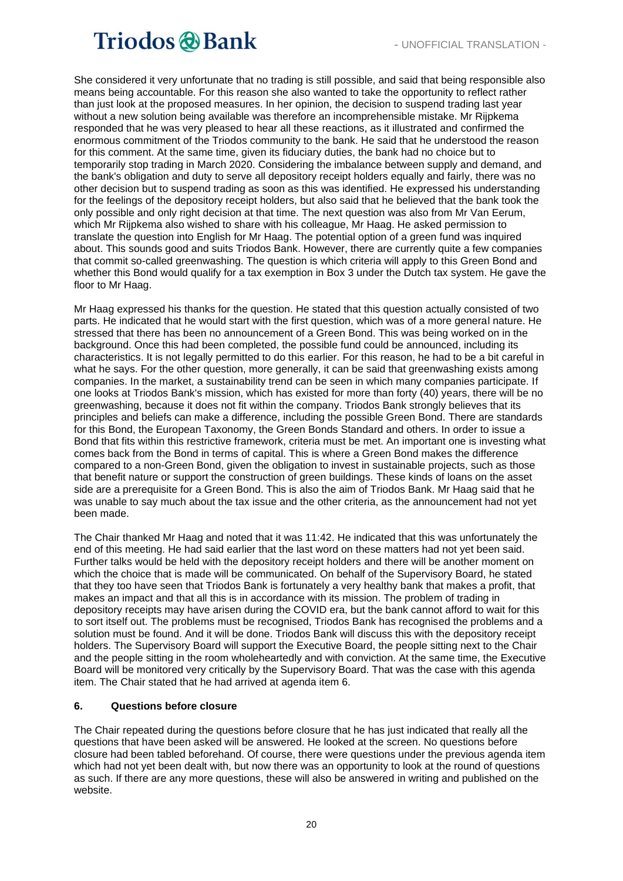She considered it very unfortunate that no trading is still possible, and said that being responsible also means being accountable. For this reason she also wanted to take the opportunity to reflect rather than just look at the proposed measures. In her opinion, the decision to suspend trading last year without a new solution being available was therefore an incomprehensible mistake. Mr Rijpkema responded that he was very pleased to hear all these reactions, as it illustrated and confirmed the enormous commitment of the Triodos community to the bank. He said that he understood the reason for this comment. At the same time, given its fiduciary duties, the bank had no choice but to temporarily stop trading in March 2020. Considering the imbalance between supply and demand, and the bank's obligation and duty to serve all depository receipt holders equally and fairly, there was no other decision but to suspend trading as soon as this was identified. He expressed his understanding for the feelings of the depository receipt holders, but also said that he believed that the bank took the only possible and only right decision at that time. The next question was also from Mr Van Eerum, which Mr Rijpkema also wished to share with his colleague, Mr Haag. He asked permission to translate the question into English for Mr Haag. The potential option of a green fund was inquired about. This sounds good and suits Triodos Bank. However, there are currently quite a few companies that commit so-called greenwashing. The question is which criteria will apply to this Green Bond and whether this Bond would qualify for a tax exemption in Box 3 under the Dutch tax system. He gave the floor to Mr Haag.

Mr Haag expressed his thanks for the question. He stated that this question actually consisted of two parts. He indicated that he would start with the first question, which was of a more general nature. He stressed that there has been no announcement of a Green Bond. This was being worked on in the background. Once this had been completed, the possible fund could be announced, including its characteristics. It is not legally permitted to do this earlier. For this reason, he had to be a bit careful in what he says. For the other question, more generally, it can be said that greenwashing exists among companies. In the market, a sustainability trend can be seen in which many companies participate. If one looks at Triodos Bank's mission, which has existed for more than forty (40) years, there will be no greenwashing, because it does not fit within the company. Triodos Bank strongly believes that its principles and beliefs can make a difference, including the possible Green Bond. There are standards for this Bond, the European Taxonomy, the Green Bonds Standard and others. In order to issue a Bond that fits within this restrictive framework, criteria must be met. An important one is investing what comes back from the Bond in terms of capital. This is where a Green Bond makes the difference compared to a non-Green Bond, given the obligation to invest in sustainable projects, such as those that benefit nature or support the construction of green buildings. These kinds of loans on the asset side are a prerequisite for a Green Bond. This is also the aim of Triodos Bank. Mr Haag said that he was unable to say much about the tax issue and the other criteria, as the announcement had not yet been made.

The Chair thanked Mr Haag and noted that it was 11:42. He indicated that this was unfortunately the end of this meeting. He had said earlier that the last word on these matters had not yet been said. Further talks would be held with the depository receipt holders and there will be another moment on which the choice that is made will be communicated. On behalf of the Supervisory Board, he stated that they too have seen that Triodos Bank is fortunately a very healthy bank that makes a profit, that makes an impact and that all this is in accordance with its mission. The problem of trading in depository receipts may have arisen during the COVID era, but the bank cannot afford to wait for this to sort itself out. The problems must be recognised, Triodos Bank has recognised the problems and a solution must be found. And it will be done. Triodos Bank will discuss this with the depository receipt holders. The Supervisory Board will support the Executive Board, the people sitting next to the Chair and the people sitting in the room wholeheartedly and with conviction. At the same time, the Executive Board will be monitored very critically by the Supervisory Board. That was the case with this agenda item. The Chair stated that he had arrived at agenda item 6.

#### **6. Questions before closure**

The Chair repeated during the questions before closure that he has just indicated that really all the questions that have been asked will be answered. He looked at the screen. No questions before closure had been tabled beforehand. Of course, there were questions under the previous agenda item which had not yet been dealt with, but now there was an opportunity to look at the round of questions as such. If there are any more questions, these will also be answered in writing and published on the website.